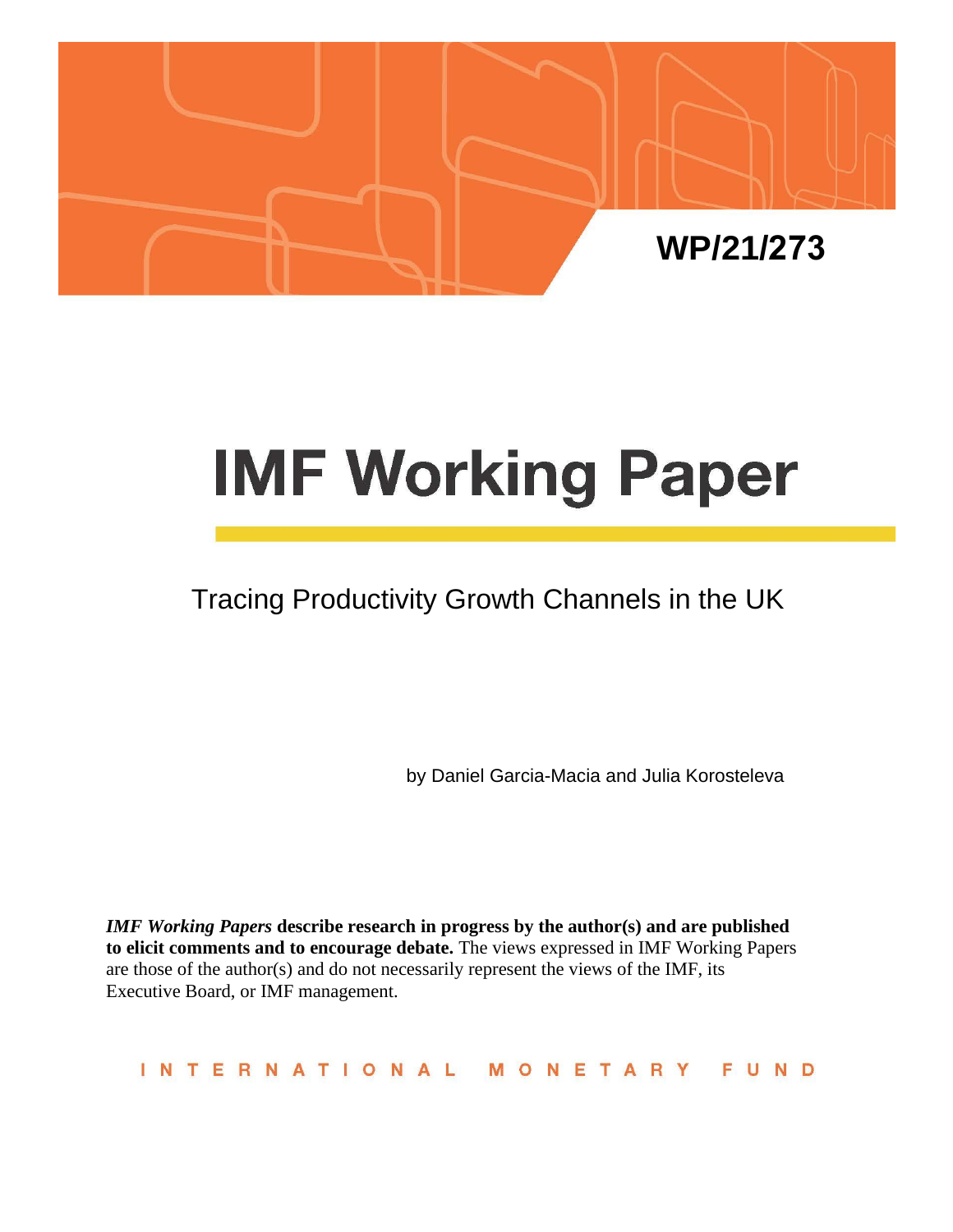

# **IMF Working Paper**

# Tracing Productivity Growth Channels in the UK

by Daniel Garcia-Macia and Julia Korosteleva

*IMF Working Papers* **describe research in progress by the author(s) and are published to elicit comments and to encourage debate.** The views expressed in IMF Working Papers are those of the author(s) and do not necessarily represent the views of the IMF, its Executive Board, or IMF management.

INTERNATIONAL MONETARY FUND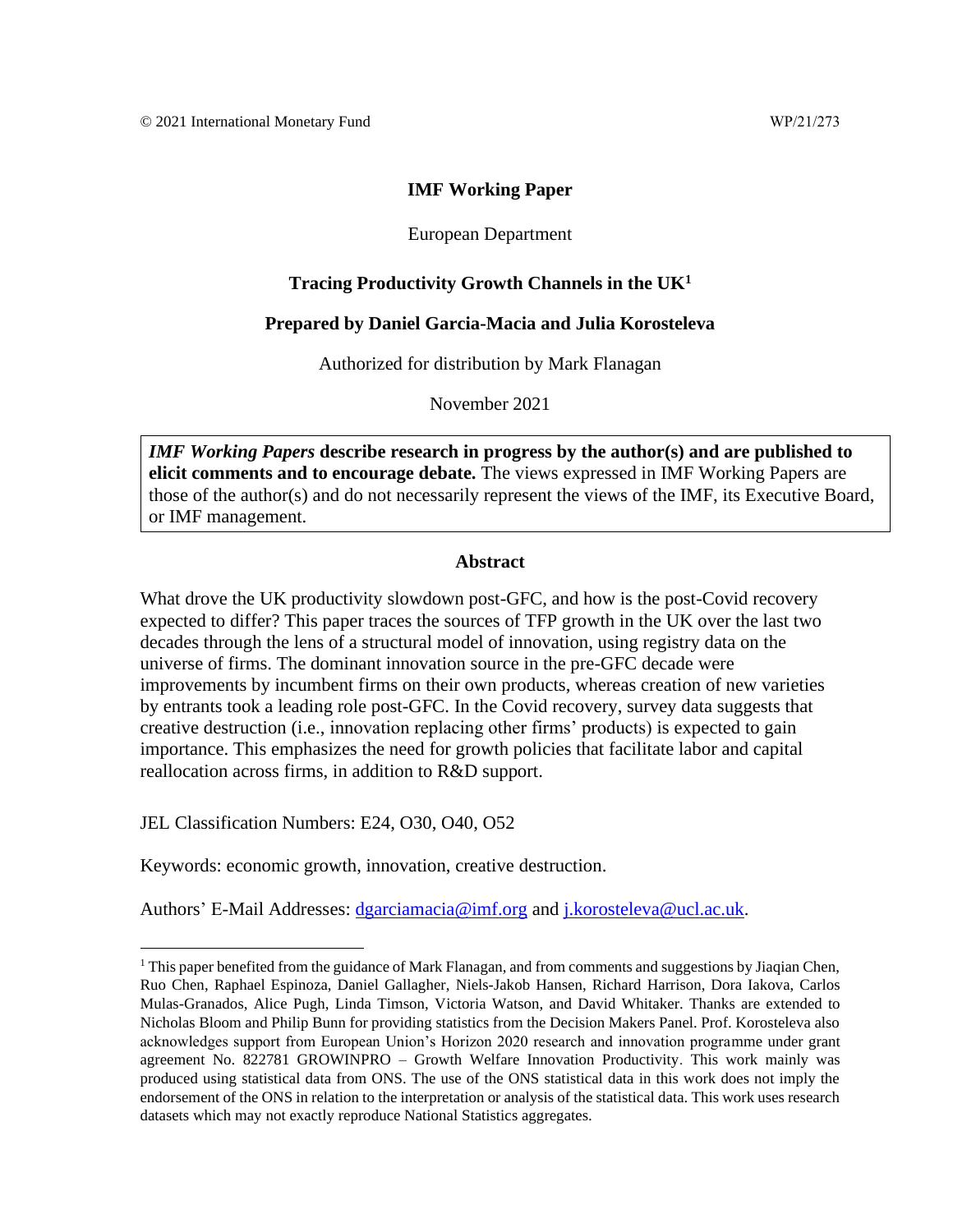# **IMF Working Paper**

#### European Department

# **Tracing Productivity Growth Channels in the UK<sup>1</sup>**

#### **Prepared by Daniel Garcia-Macia and Julia Korosteleva**

Authorized for distribution by Mark Flanagan

November 2021

*IMF Working Papers* **describe research in progress by the author(s) and are published to elicit comments and to encourage debate.** The views expressed in IMF Working Papers are those of the author(s) and do not necessarily represent the views of the IMF, its Executive Board, or IMF management.

#### **Abstract**

What drove the UK productivity slowdown post-GFC, and how is the post-Covid recovery expected to differ? This paper traces the sources of TFP growth in the UK over the last two decades through the lens of a structural model of innovation, using registry data on the universe of firms. The dominant innovation source in the pre-GFC decade were improvements by incumbent firms on their own products, whereas creation of new varieties by entrants took a leading role post-GFC. In the Covid recovery, survey data suggests that creative destruction (i.e., innovation replacing other firms' products) is expected to gain importance. This emphasizes the need for growth policies that facilitate labor and capital reallocation across firms, in addition to R&D support.

JEL Classification Numbers: E24, O30, O40, O52

Keywords: economic growth, innovation, creative destruction.

Authors' E-Mail Addresses: [dgarciamacia@imf.org](mailto:dgarciamacia@imf.orga) and [j.korosteleva@ucl.ac.uk.](file://///data3/users3/DGarciaMacia/My%20Documents/EUR/UK/productivity/WP/j.korosteleva@ucl.ac.uk)

<sup>&</sup>lt;sup>1</sup> This paper benefited from the guidance of Mark Flanagan, and from comments and suggestions by Jiaqian Chen, Ruo Chen, Raphael Espinoza, Daniel Gallagher, Niels-Jakob Hansen, Richard Harrison, Dora Iakova, Carlos Mulas-Granados, Alice Pugh, Linda Timson, Victoria Watson, and David Whitaker. Thanks are extended to Nicholas Bloom and Philip Bunn for providing statistics from the Decision Makers Panel. Prof. Korosteleva also acknowledges support from European Union's Horizon 2020 research and innovation programme under grant agreement No. 822781 GROWINPRO – Growth Welfare Innovation Productivity. This work mainly was produced using statistical data from ONS. The use of the ONS statistical data in this work does not imply the endorsement of the ONS in relation to the interpretation or analysis of the statistical data. This work uses research datasets which may not exactly reproduce National Statistics aggregates.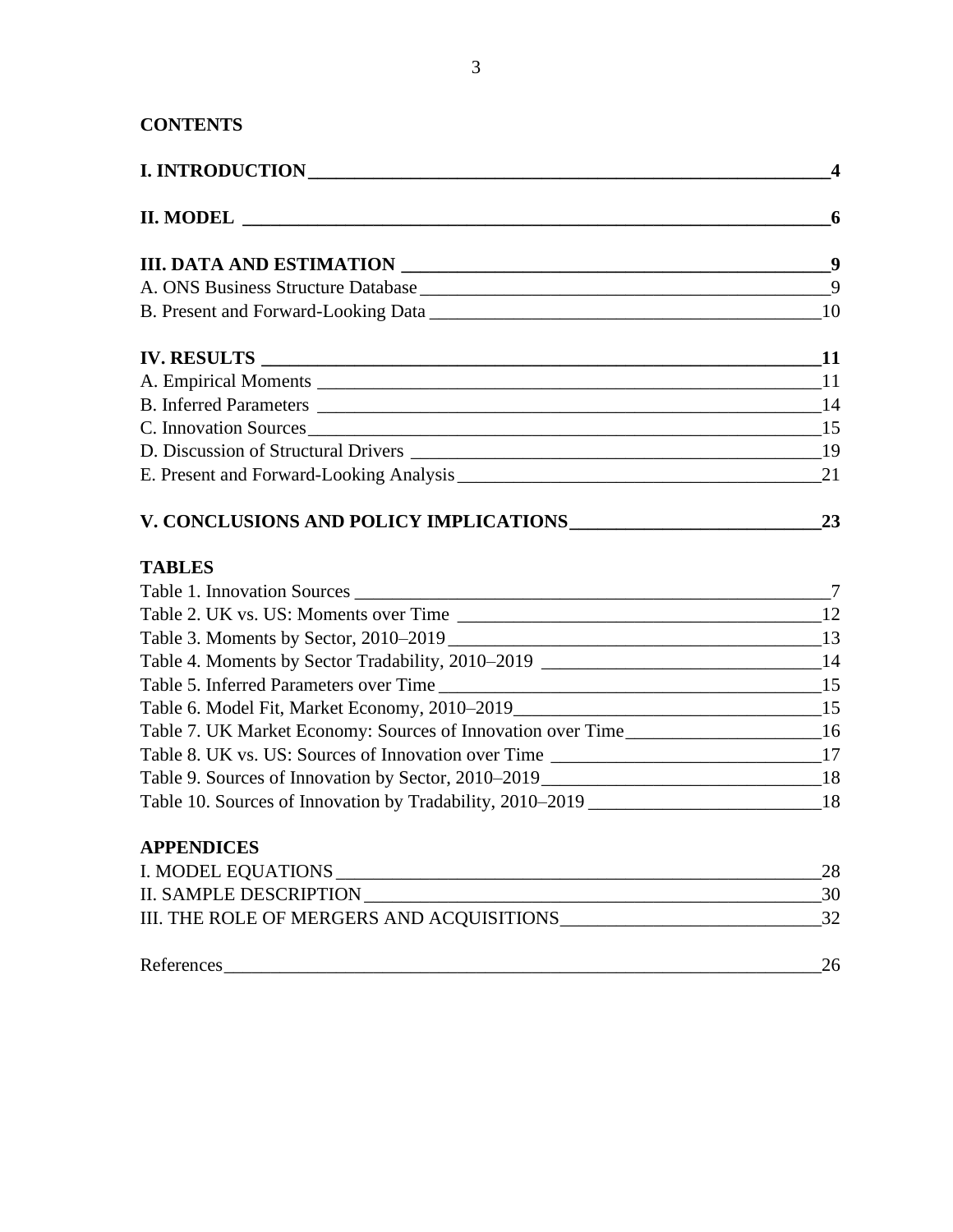# **CONTENTS**

|                                                                                      | $\overline{4}$ |
|--------------------------------------------------------------------------------------|----------------|
|                                                                                      |                |
|                                                                                      |                |
|                                                                                      | 9              |
|                                                                                      |                |
|                                                                                      |                |
|                                                                                      |                |
|                                                                                      |                |
| C. Innovation Sources 15                                                             |                |
|                                                                                      |                |
|                                                                                      |                |
|                                                                                      |                |
| <b>TABLES</b>                                                                        |                |
|                                                                                      |                |
|                                                                                      |                |
| Table 3. Moments by Sector, 2010–2019<br>13                                          |                |
| Table 4. Moments by Sector Tradability, 2010–2019 _______________________________14  |                |
|                                                                                      |                |
| Table 6. Model Fit, Market Economy, 2010–2019___________________________________15   |                |
| Table 7. UK Market Economy: Sources of Innovation over Time______________________16  |                |
|                                                                                      |                |
| Table 9. Sources of Innovation by Sector, 2010–2019<br>18                            |                |
| Table 10. Sources of Innovation by Tradability, 2010–2019 ________________________18 |                |
| <b>APPENDICES</b>                                                                    |                |
|                                                                                      | 28             |
|                                                                                      | 30             |
|                                                                                      |                |
| References                                                                           | 26             |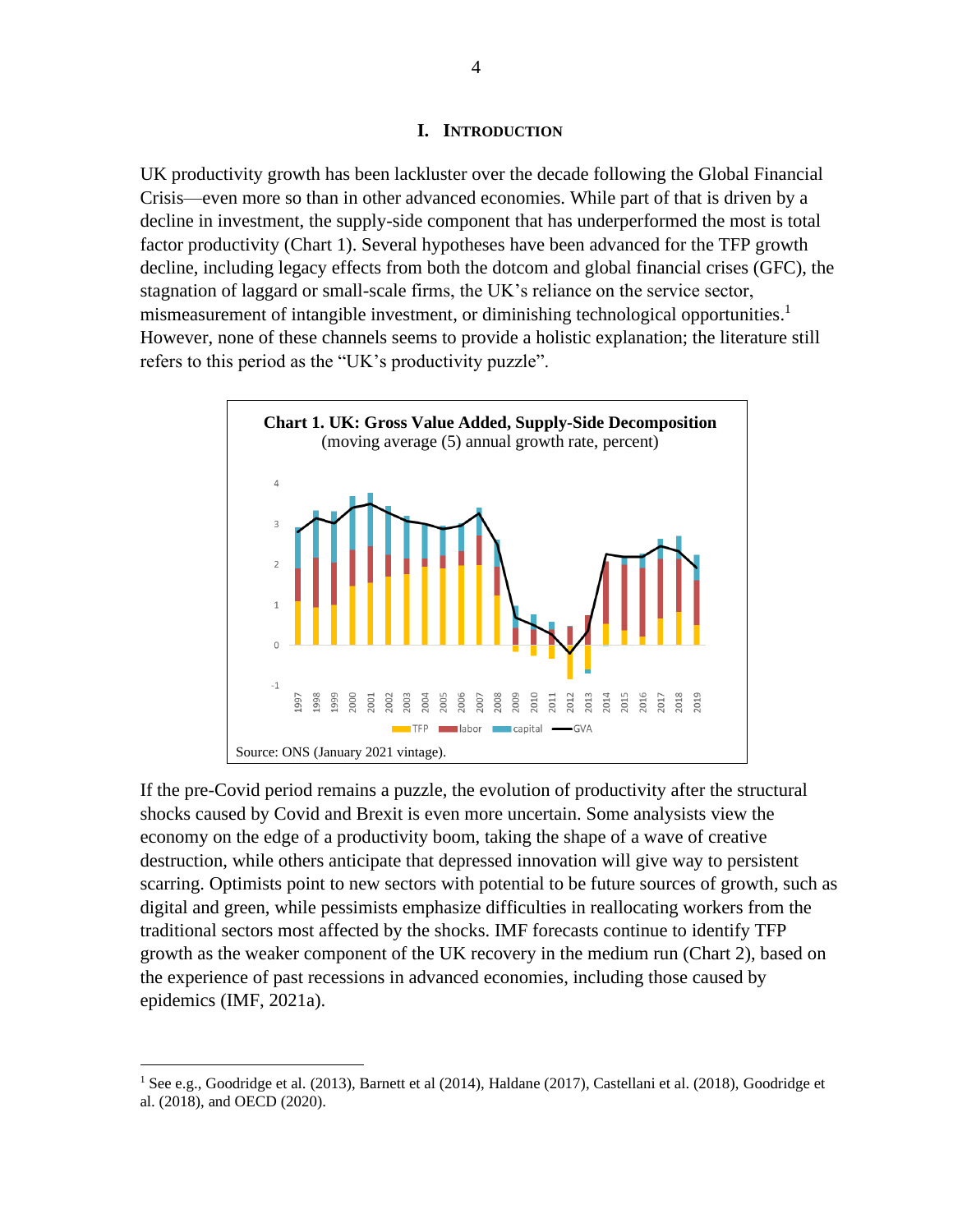#### **I. INTRODUCTION**

UK productivity growth has been lackluster over the decade following the Global Financial Crisis—even more so than in other advanced economies. While part of that is driven by a decline in investment, the supply-side component that has underperformed the most is total factor productivity (Chart 1). Several hypotheses have been advanced for the TFP growth decline, including legacy effects from both the dotcom and global financial crises (GFC), the stagnation of laggard or small-scale firms, the UK's reliance on the service sector, mismeasurement of intangible investment, or diminishing technological opportunities.<sup>1</sup> However, none of these channels seems to provide a holistic explanation; the literature still refers to this period as the "UK's productivity puzzle".



If the pre-Covid period remains a puzzle, the evolution of productivity after the structural shocks caused by Covid and Brexit is even more uncertain. Some analysists view the economy on the edge of a productivity boom, taking the shape of a wave of creative destruction, while others anticipate that depressed innovation will give way to persistent scarring. Optimists point to new sectors with potential to be future sources of growth, such as digital and green, while pessimists emphasize difficulties in reallocating workers from the traditional sectors most affected by the shocks. IMF forecasts continue to identify TFP growth as the weaker component of the UK recovery in the medium run (Chart 2), based on the experience of past recessions in advanced economies, including those caused by epidemics (IMF, 2021a).

<sup>&</sup>lt;sup>1</sup> See e.g., Goodridge et al. (2013), Barnett et al (2014), Haldane (2017), Castellani et al. (2018), Goodridge et al. (2018), and OECD (2020).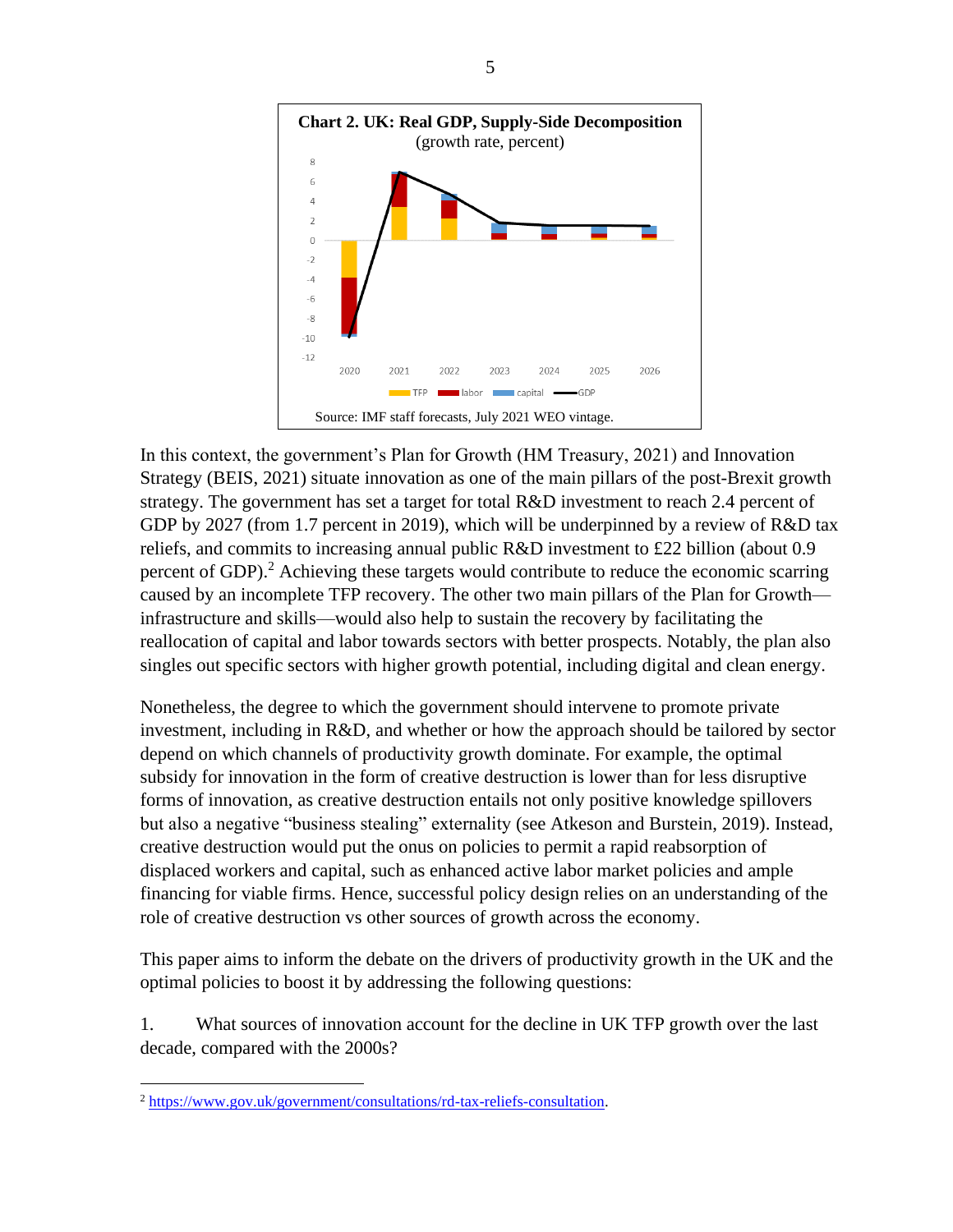

In this context, the government's Plan for Growth (HM Treasury, 2021) and Innovation Strategy (BEIS, 2021) situate innovation as one of the main pillars of the post-Brexit growth strategy. The government has set a target for total R&D investment to reach 2.4 percent of GDP by 2027 (from 1.7 percent in 2019), which will be underpinned by a review of R&D tax reliefs, and commits to increasing annual public R&D investment to £22 billion (about 0.9 percent of GDP).<sup>2</sup> Achieving these targets would contribute to reduce the economic scarring caused by an incomplete TFP recovery. The other two main pillars of the Plan for Growth infrastructure and skills—would also help to sustain the recovery by facilitating the reallocation of capital and labor towards sectors with better prospects. Notably, the plan also singles out specific sectors with higher growth potential, including digital and clean energy.

Nonetheless, the degree to which the government should intervene to promote private investment, including in R&D, and whether or how the approach should be tailored by sector depend on which channels of productivity growth dominate. For example, the optimal subsidy for innovation in the form of creative destruction is lower than for less disruptive forms of innovation, as creative destruction entails not only positive knowledge spillovers but also a negative "business stealing" externality (see Atkeson and Burstein, 2019). Instead, creative destruction would put the onus on policies to permit a rapid reabsorption of displaced workers and capital, such as enhanced active labor market policies and ample financing for viable firms. Hence, successful policy design relies on an understanding of the role of creative destruction vs other sources of growth across the economy.

This paper aims to inform the debate on the drivers of productivity growth in the UK and the optimal policies to boost it by addressing the following questions:

1. What sources of innovation account for the decline in UK TFP growth over the last decade, compared with the 2000s?

<sup>2</sup> [https://www.gov.uk/government/consultations/rd-tax-reliefs-consultation.](https://www.gov.uk/government/consultations/rd-tax-reliefs-consultation)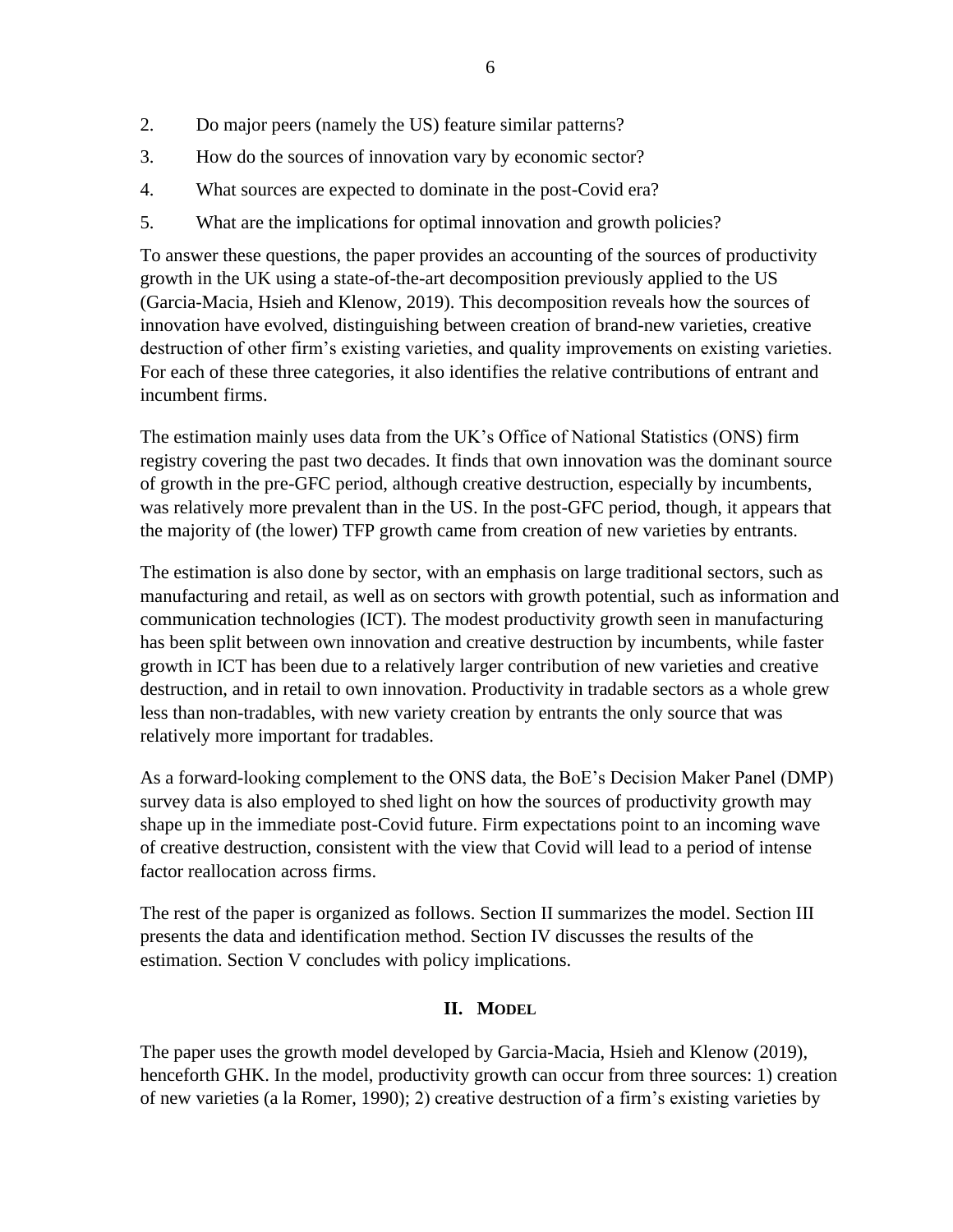- 2. Do major peers (namely the US) feature similar patterns?
- 3. How do the sources of innovation vary by economic sector?
- 4. What sources are expected to dominate in the post-Covid era?
- 5. What are the implications for optimal innovation and growth policies?

To answer these questions, the paper provides an accounting of the sources of productivity growth in the UK using a state-of-the-art decomposition previously applied to the US (Garcia-Macia, Hsieh and Klenow, 2019). This decomposition reveals how the sources of innovation have evolved, distinguishing between creation of brand-new varieties, creative destruction of other firm's existing varieties, and quality improvements on existing varieties. For each of these three categories, it also identifies the relative contributions of entrant and incumbent firms.

The estimation mainly uses data from the UK's Office of National Statistics (ONS) firm registry covering the past two decades. It finds that own innovation was the dominant source of growth in the pre-GFC period, although creative destruction, especially by incumbents, was relatively more prevalent than in the US. In the post-GFC period, though, it appears that the majority of (the lower) TFP growth came from creation of new varieties by entrants.

The estimation is also done by sector, with an emphasis on large traditional sectors, such as manufacturing and retail, as well as on sectors with growth potential, such as information and communication technologies (ICT). The modest productivity growth seen in manufacturing has been split between own innovation and creative destruction by incumbents, while faster growth in ICT has been due to a relatively larger contribution of new varieties and creative destruction, and in retail to own innovation. Productivity in tradable sectors as a whole grew less than non-tradables, with new variety creation by entrants the only source that was relatively more important for tradables.

As a forward-looking complement to the ONS data, the BoE's Decision Maker Panel (DMP) survey data is also employed to shed light on how the sources of productivity growth may shape up in the immediate post-Covid future. Firm expectations point to an incoming wave of creative destruction, consistent with the view that Covid will lead to a period of intense factor reallocation across firms.

The rest of the paper is organized as follows. Section II summarizes the model. Section III presents the data and identification method. Section IV discusses the results of the estimation. Section V concludes with policy implications.

# **II. MODEL**

The paper uses the growth model developed by Garcia-Macia, Hsieh and Klenow (2019), henceforth GHK. In the model, productivity growth can occur from three sources: 1) creation of new varieties (a la Romer, 1990); 2) creative destruction of a firm's existing varieties by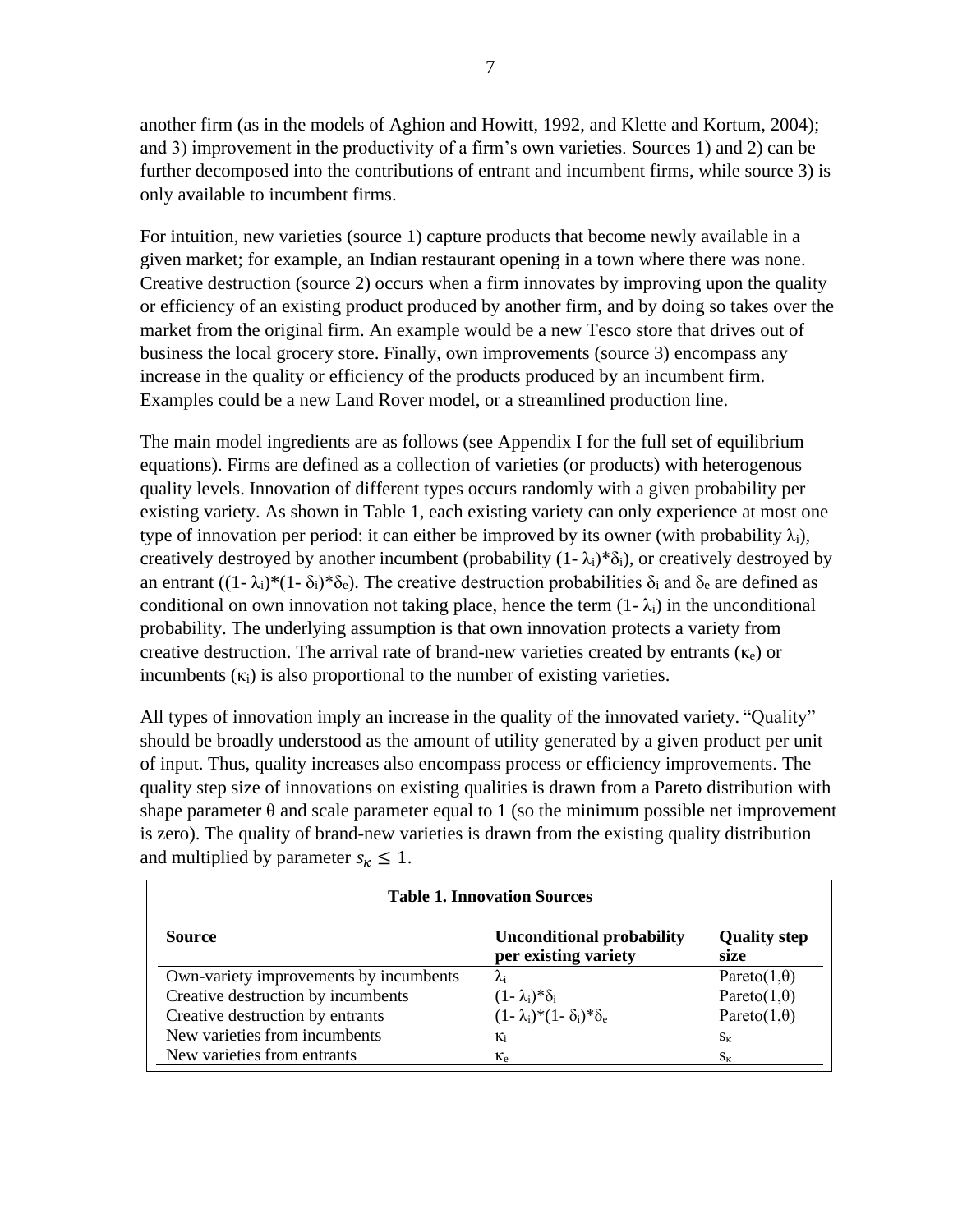another firm (as in the models of Aghion and Howitt, 1992, and Klette and Kortum, 2004); and 3) improvement in the productivity of a firm's own varieties. Sources 1) and 2) can be further decomposed into the contributions of entrant and incumbent firms, while source 3) is only available to incumbent firms.

For intuition, new varieties (source 1) capture products that become newly available in a given market; for example, an Indian restaurant opening in a town where there was none. Creative destruction (source 2) occurs when a firm innovates by improving upon the quality or efficiency of an existing product produced by another firm, and by doing so takes over the market from the original firm. An example would be a new Tesco store that drives out of business the local grocery store. Finally, own improvements (source 3) encompass any increase in the quality or efficiency of the products produced by an incumbent firm. Examples could be a new Land Rover model, or a streamlined production line.

The main model ingredients are as follows (see Appendix I for the full set of equilibrium equations). Firms are defined as a collection of varieties (or products) with heterogenous quality levels. Innovation of different types occurs randomly with a given probability per existing variety. As shown in Table 1, each existing variety can only experience at most one type of innovation per period: it can either be improved by its owner (with probability  $\lambda_i$ ), creatively destroyed by another incumbent (probability  $(1-\lambda_i)^*\delta_i$ ), or creatively destroyed by an entrant  $((1 - \lambda_i)^*(1 - \delta_i)^*\delta_e)$ . The creative destruction probabilities  $\delta_i$  and  $\delta_e$  are defined as conditional on own innovation not taking place, hence the term  $(1 - \lambda_i)$  in the unconditional probability. The underlying assumption is that own innovation protects a variety from creative destruction. The arrival rate of brand-new varieties created by entrants ( $\kappa_e$ ) or incumbents  $(\kappa_i)$  is also proportional to the number of existing varieties.

All types of innovation imply an increase in the quality of the innovated variety. "Quality" should be broadly understood as the amount of utility generated by a given product per unit of input. Thus, quality increases also encompass process or efficiency improvements. The quality step size of innovations on existing qualities is drawn from a Pareto distribution with shape parameter  $\theta$  and scale parameter equal to 1 (so the minimum possible net improvement is zero). The quality of brand-new varieties is drawn from the existing quality distribution and multiplied by parameter  $s_k \leq 1$ .

| <b>Table 1. Innovation Sources</b>     |                                                          |                             |  |
|----------------------------------------|----------------------------------------------------------|-----------------------------|--|
| Source                                 | <b>Unconditional probability</b><br>per existing variety | <b>Quality step</b><br>size |  |
| Own-variety improvements by incumbents | λi                                                       | Pareto $(1,\theta)$         |  |
| Creative destruction by incumbents     | $(1-\lambda_i)^*\delta_i$                                | Pareto $(1,\theta)$         |  |
| Creative destruction by entrants       | $(1-\lambda_i)^*(1-\delta_i)^*\delta_e$                  | Pareto $(1,\theta)$         |  |
| New varieties from incumbents          | Кi                                                       | $S_{\kappa}$                |  |
| New varieties from entrants            | $\kappa_{e}$                                             | $S_{K}$                     |  |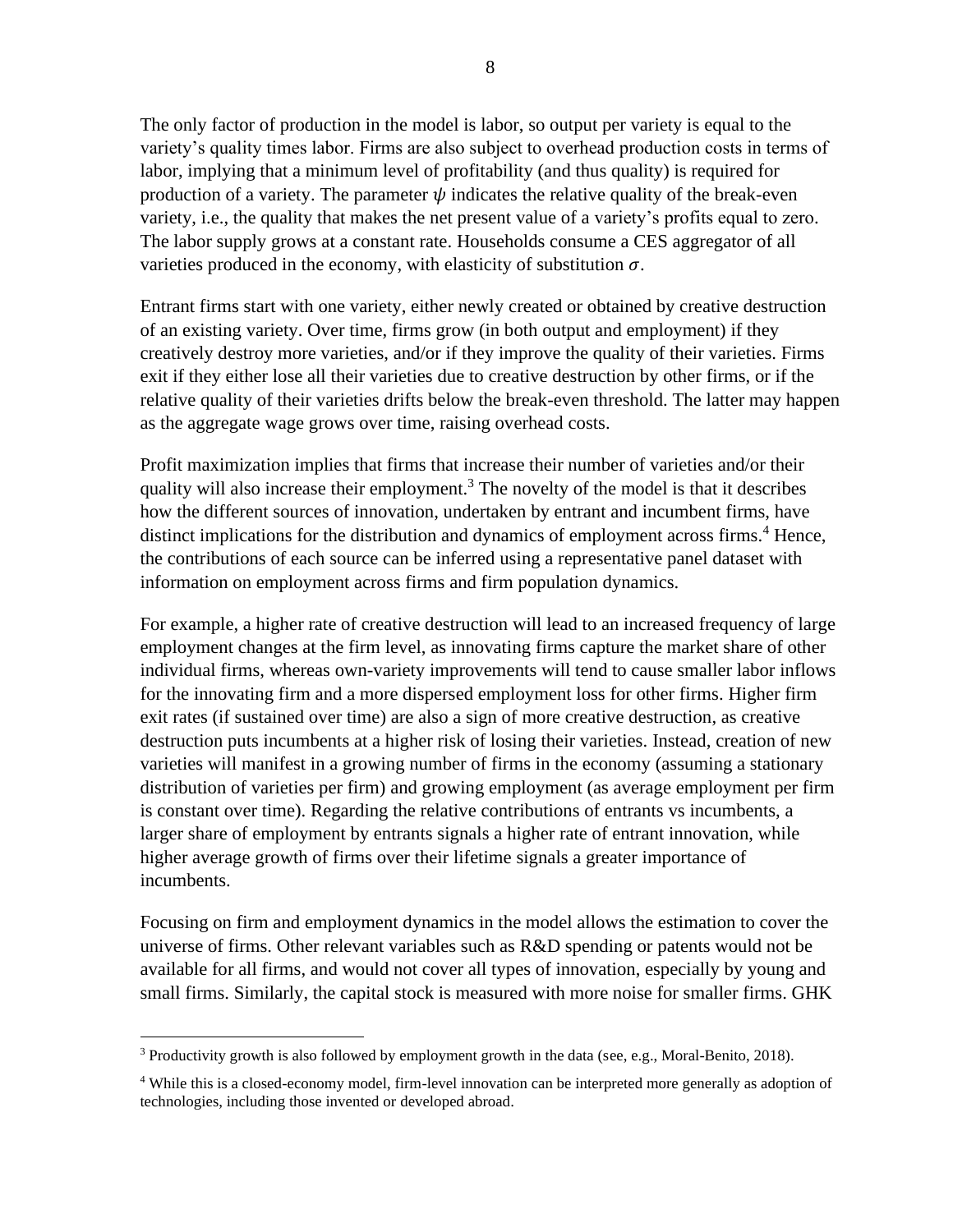The only factor of production in the model is labor, so output per variety is equal to the variety's quality times labor. Firms are also subject to overhead production costs in terms of labor, implying that a minimum level of profitability (and thus quality) is required for production of a variety. The parameter  $\psi$  indicates the relative quality of the break-even variety, i.e., the quality that makes the net present value of a variety's profits equal to zero. The labor supply grows at a constant rate. Households consume a CES aggregator of all varieties produced in the economy, with elasticity of substitution  $\sigma$ .

Entrant firms start with one variety, either newly created or obtained by creative destruction of an existing variety. Over time, firms grow (in both output and employment) if they creatively destroy more varieties, and/or if they improve the quality of their varieties. Firms exit if they either lose all their varieties due to creative destruction by other firms, or if the relative quality of their varieties drifts below the break-even threshold. The latter may happen as the aggregate wage grows over time, raising overhead costs.

Profit maximization implies that firms that increase their number of varieties and/or their quality will also increase their employment.<sup>3</sup> The novelty of the model is that it describes how the different sources of innovation, undertaken by entrant and incumbent firms, have distinct implications for the distribution and dynamics of employment across firms.<sup>4</sup> Hence, the contributions of each source can be inferred using a representative panel dataset with information on employment across firms and firm population dynamics.

For example, a higher rate of creative destruction will lead to an increased frequency of large employment changes at the firm level, as innovating firms capture the market share of other individual firms, whereas own-variety improvements will tend to cause smaller labor inflows for the innovating firm and a more dispersed employment loss for other firms. Higher firm exit rates (if sustained over time) are also a sign of more creative destruction, as creative destruction puts incumbents at a higher risk of losing their varieties. Instead, creation of new varieties will manifest in a growing number of firms in the economy (assuming a stationary distribution of varieties per firm) and growing employment (as average employment per firm is constant over time). Regarding the relative contributions of entrants vs incumbents, a larger share of employment by entrants signals a higher rate of entrant innovation, while higher average growth of firms over their lifetime signals a greater importance of incumbents.

Focusing on firm and employment dynamics in the model allows the estimation to cover the universe of firms. Other relevant variables such as R&D spending or patents would not be available for all firms, and would not cover all types of innovation, especially by young and small firms. Similarly, the capital stock is measured with more noise for smaller firms. GHK

<sup>&</sup>lt;sup>3</sup> Productivity growth is also followed by employment growth in the data (see, e.g., Moral-Benito, 2018).

<sup>4</sup> While this is a closed-economy model, firm-level innovation can be interpreted more generally as adoption of technologies, including those invented or developed abroad.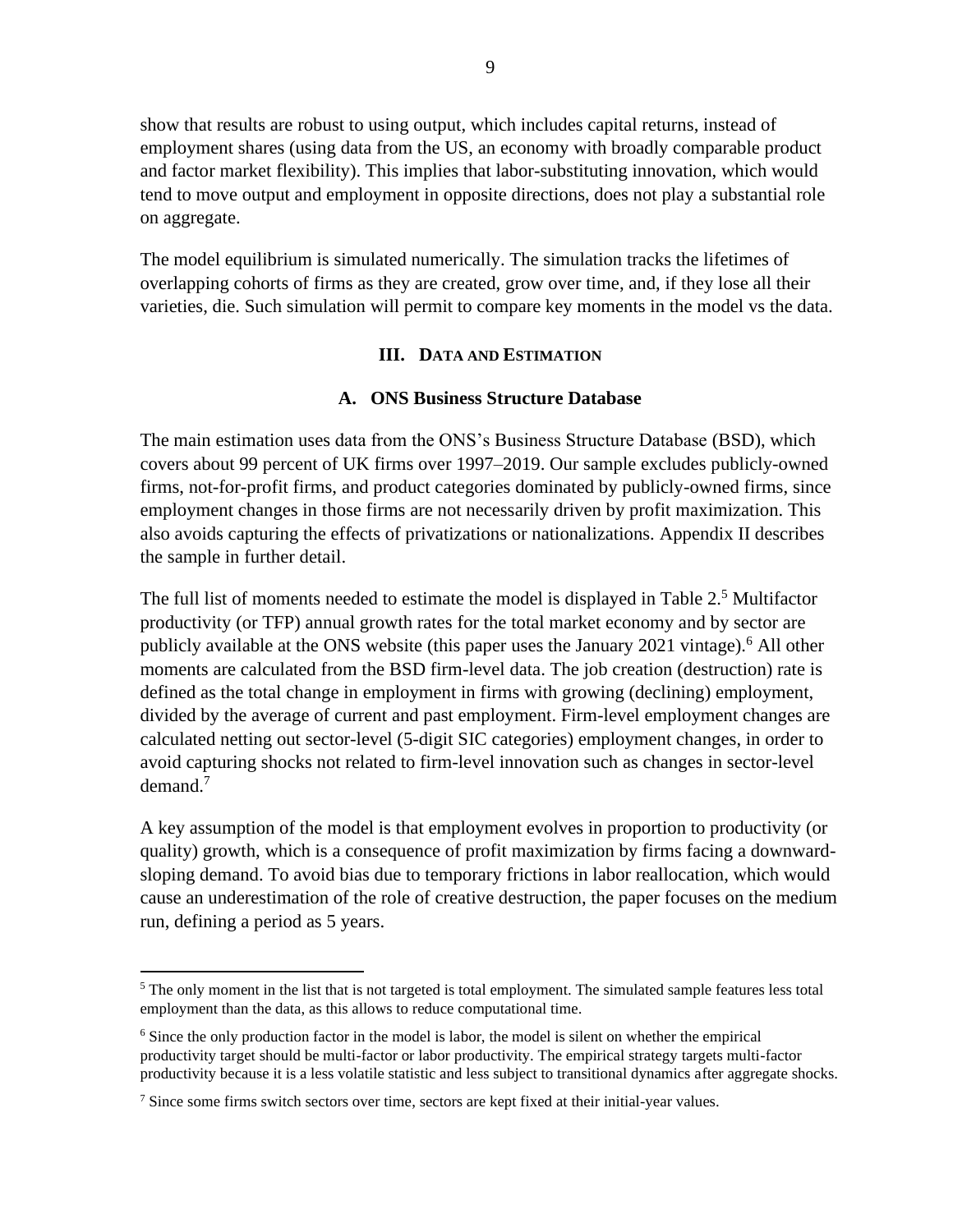show that results are robust to using output, which includes capital returns, instead of employment shares (using data from the US, an economy with broadly comparable product and factor market flexibility). This implies that labor-substituting innovation, which would tend to move output and employment in opposite directions, does not play a substantial role on aggregate.

The model equilibrium is simulated numerically. The simulation tracks the lifetimes of overlapping cohorts of firms as they are created, grow over time, and, if they lose all their varieties, die. Such simulation will permit to compare key moments in the model vs the data.

# **III. DATA AND ESTIMATION**

#### **A. ONS Business Structure Database**

The main estimation uses data from the ONS's Business Structure Database (BSD), which covers about 99 percent of UK firms over 1997–2019. Our sample excludes publicly-owned firms, not-for-profit firms, and product categories dominated by publicly-owned firms, since employment changes in those firms are not necessarily driven by profit maximization. This also avoids capturing the effects of privatizations or nationalizations. Appendix II describes the sample in further detail.

The full list of moments needed to estimate the model is displayed in Table 2.<sup>5</sup> Multifactor productivity (or TFP) annual growth rates for the total market economy and by sector are publicly available at the ONS website (this paper uses the January 2021 vintage).<sup>6</sup> All other moments are calculated from the BSD firm-level data. The job creation (destruction) rate is defined as the total change in employment in firms with growing (declining) employment, divided by the average of current and past employment. Firm-level employment changes are calculated netting out sector-level (5-digit SIC categories) employment changes, in order to avoid capturing shocks not related to firm-level innovation such as changes in sector-level demand.<sup>7</sup>

A key assumption of the model is that employment evolves in proportion to productivity (or quality) growth, which is a consequence of profit maximization by firms facing a downwardsloping demand. To avoid bias due to temporary frictions in labor reallocation, which would cause an underestimation of the role of creative destruction, the paper focuses on the medium run, defining a period as 5 years.

 $<sup>5</sup>$  The only moment in the list that is not targeted is total employment. The simulated sample features less total</sup> employment than the data, as this allows to reduce computational time.

<sup>&</sup>lt;sup>6</sup> Since the only production factor in the model is labor, the model is silent on whether the empirical productivity target should be multi-factor or labor productivity. The empirical strategy targets multi-factor productivity because it is a less volatile statistic and less subject to transitional dynamics after aggregate shocks.

<sup>&</sup>lt;sup>7</sup> Since some firms switch sectors over time, sectors are kept fixed at their initial-year values.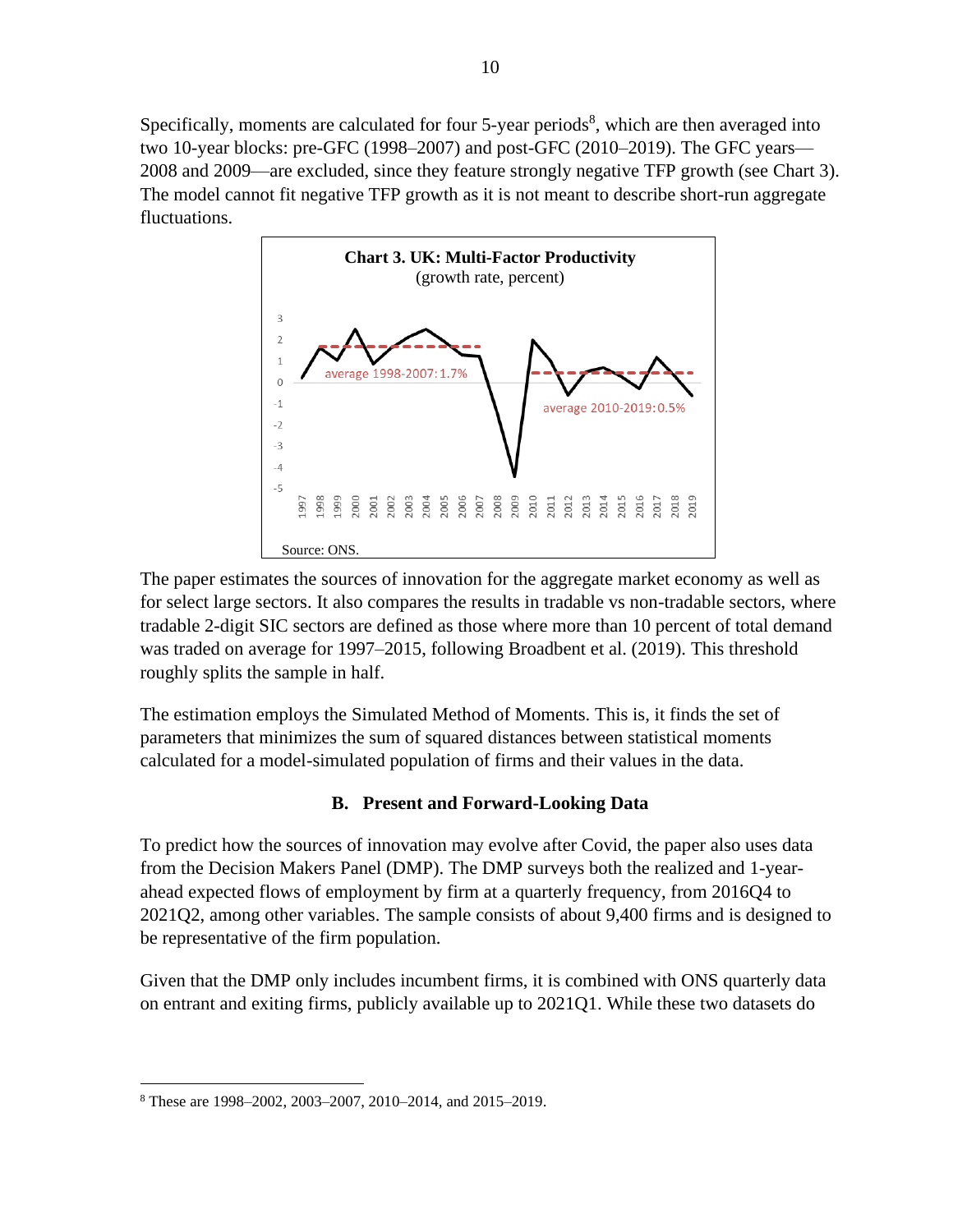Specifically, moments are calculated for four  $5$ -year periods<sup>8</sup>, which are then averaged into two 10-year blocks: pre-GFC (1998–2007) and post-GFC (2010–2019). The GFC years— 2008 and 2009—are excluded, since they feature strongly negative TFP growth (see Chart 3). The model cannot fit negative TFP growth as it is not meant to describe short-run aggregate fluctuations.



The paper estimates the sources of innovation for the aggregate market economy as well as for select large sectors. It also compares the results in tradable vs non-tradable sectors, where tradable 2-digit SIC sectors are defined as those where more than 10 percent of total demand was traded on average for 1997–2015, following Broadbent et al. (2019). This threshold roughly splits the sample in half.

The estimation employs the Simulated Method of Moments. This is, it finds the set of parameters that minimizes the sum of squared distances between statistical moments calculated for a model-simulated population of firms and their values in the data.

# **B. Present and Forward-Looking Data**

To predict how the sources of innovation may evolve after Covid, the paper also uses data from the Decision Makers Panel (DMP). The DMP surveys both the realized and 1-yearahead expected flows of employment by firm at a quarterly frequency, from 2016Q4 to 2021Q2, among other variables. The sample consists of about 9,400 firms and is designed to be representative of the firm population.

Given that the DMP only includes incumbent firms, it is combined with ONS quarterly data on entrant and exiting firms, publicly available up to 2021Q1. While these two datasets do

<sup>8</sup> These are 1998–2002, 2003–2007, 2010–2014, and 2015–2019.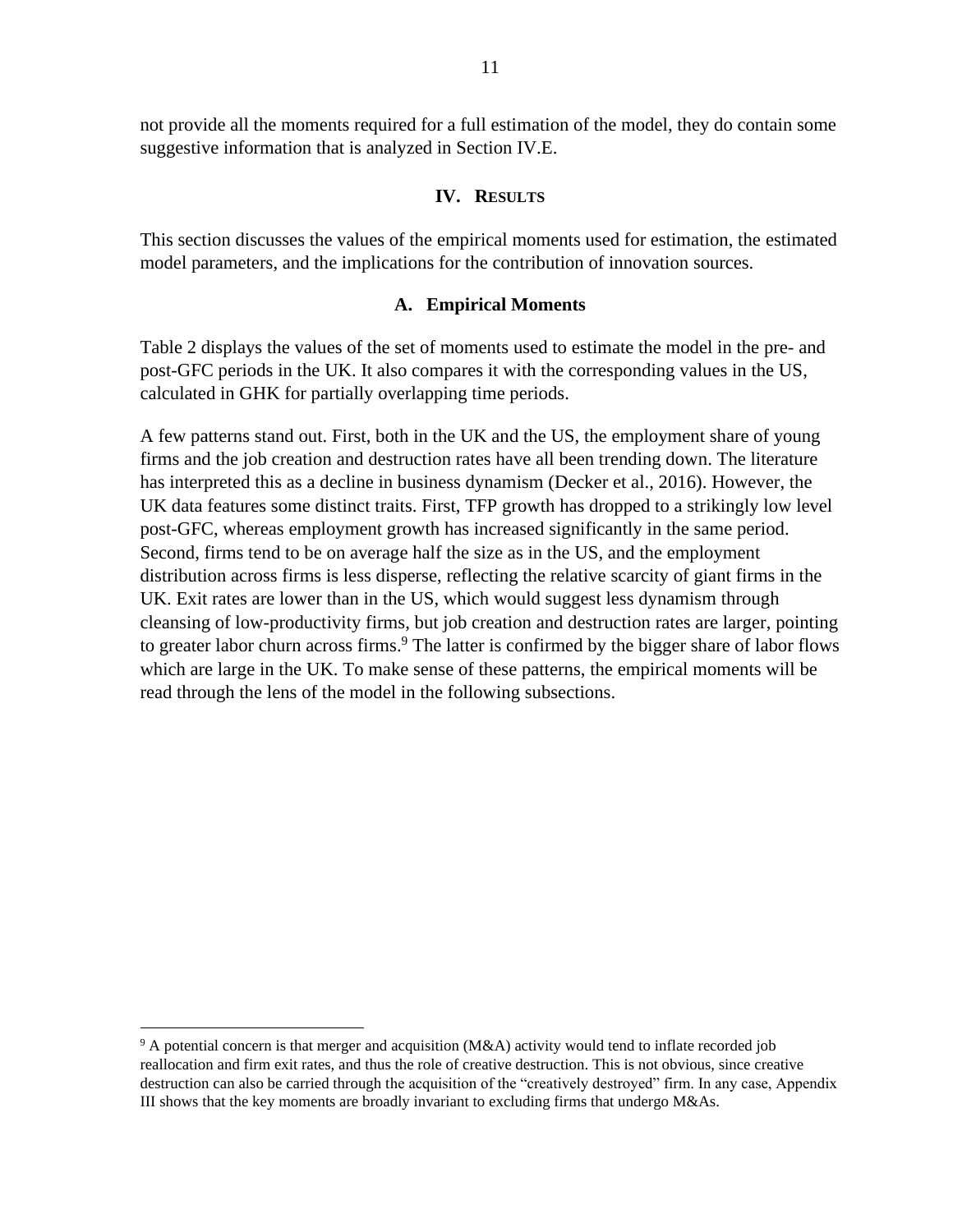not provide all the moments required for a full estimation of the model, they do contain some suggestive information that is analyzed in Section IV.E.

#### **IV. RESULTS**

This section discusses the values of the empirical moments used for estimation, the estimated model parameters, and the implications for the contribution of innovation sources.

#### **A. Empirical Moments**

Table 2 displays the values of the set of moments used to estimate the model in the pre- and post-GFC periods in the UK. It also compares it with the corresponding values in the US, calculated in GHK for partially overlapping time periods.

A few patterns stand out. First, both in the UK and the US, the employment share of young firms and the job creation and destruction rates have all been trending down. The literature has interpreted this as a decline in business dynamism (Decker et al., 2016). However, the UK data features some distinct traits. First, TFP growth has dropped to a strikingly low level post-GFC, whereas employment growth has increased significantly in the same period. Second, firms tend to be on average half the size as in the US, and the employment distribution across firms is less disperse, reflecting the relative scarcity of giant firms in the UK. Exit rates are lower than in the US, which would suggest less dynamism through cleansing of low-productivity firms, but job creation and destruction rates are larger, pointing to greater labor churn across firms.<sup>9</sup> The latter is confirmed by the bigger share of labor flows which are large in the UK. To make sense of these patterns, the empirical moments will be read through the lens of the model in the following subsections.

 $9$  A potential concern is that merger and acquisition (M&A) activity would tend to inflate recorded job reallocation and firm exit rates, and thus the role of creative destruction. This is not obvious, since creative destruction can also be carried through the acquisition of the "creatively destroyed" firm. In any case, Appendix III shows that the key moments are broadly invariant to excluding firms that undergo M&As.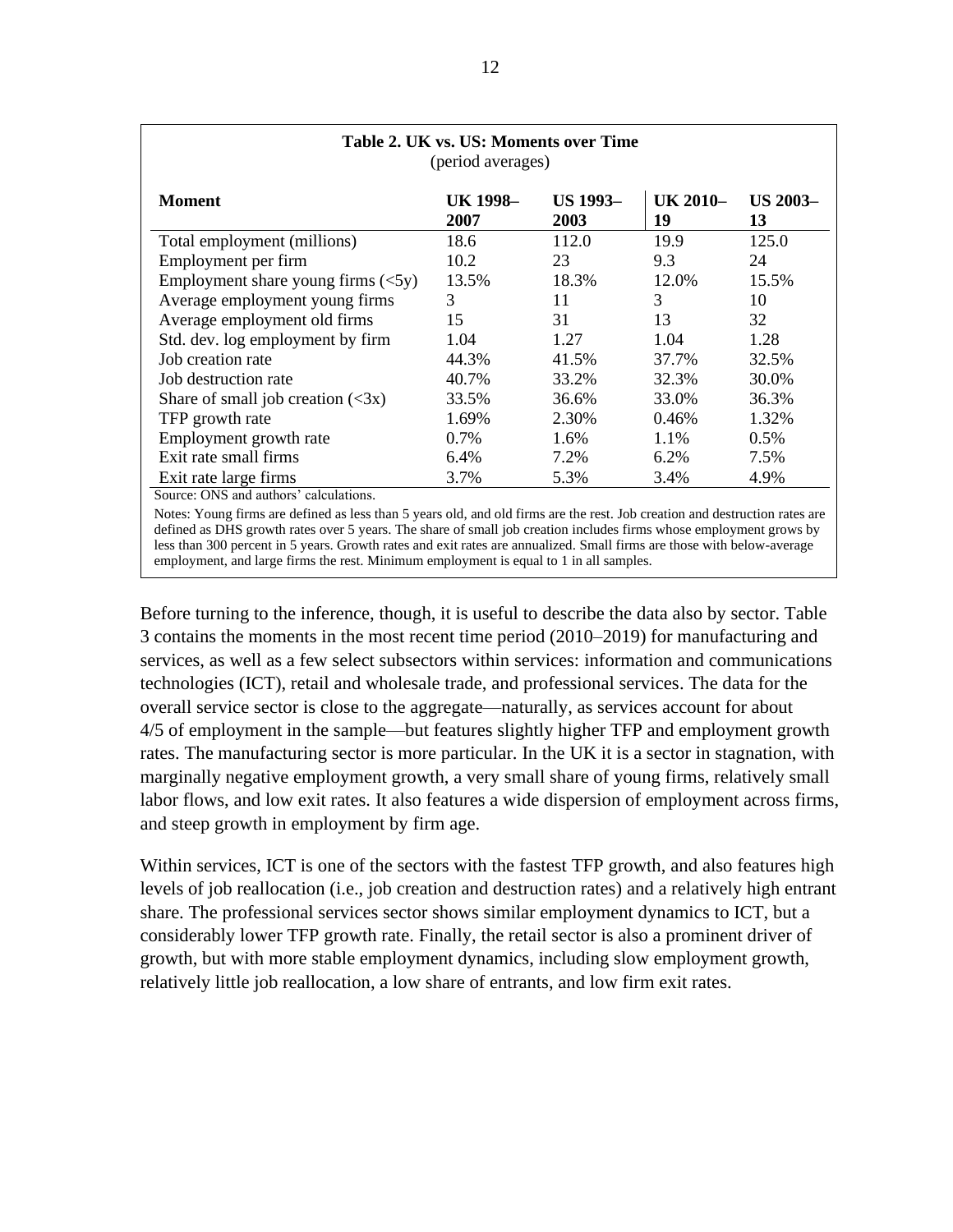| Table 2. UK vs. US: Moments over Time<br>(period averages)                                                                                             |                         |                         |                |                       |  |
|--------------------------------------------------------------------------------------------------------------------------------------------------------|-------------------------|-------------------------|----------------|-----------------------|--|
| <b>Moment</b>                                                                                                                                          | <b>UK 1998-</b><br>2007 | <b>US 1993-</b><br>2003 | UK 2010-<br>19 | <b>US 2003–</b><br>13 |  |
| Total employment (millions)                                                                                                                            | 18.6                    | 112.0                   | 19.9           | 125.0                 |  |
| Employment per firm                                                                                                                                    | 10.2                    | 23                      | 9.3            | 24                    |  |
| Employment share young firms $(\leq 5y)$                                                                                                               | 13.5%                   | 18.3%                   | 12.0%          | 15.5%                 |  |
| Average employment young firms                                                                                                                         | 3                       | 11                      | 3              | 10                    |  |
| Average employment old firms                                                                                                                           | 15                      | 31                      | 13             | 32                    |  |
| Std. dev. log employment by firm                                                                                                                       | 1.04                    | 1.27                    | 1.04           | 1.28                  |  |
| Job creation rate                                                                                                                                      | 44.3%                   | 41.5%                   | 37.7%          | 32.5%                 |  |
| Job destruction rate                                                                                                                                   | 40.7%                   | 33.2%                   | 32.3%          | 30.0%                 |  |
| Share of small job creation $(\leq 3x)$                                                                                                                | 33.5%                   | 36.6%                   | 33.0%          | 36.3%                 |  |
| TFP growth rate                                                                                                                                        | 1.69%                   | 2.30%                   | 0.46%          | 1.32%                 |  |
| Employment growth rate                                                                                                                                 | 0.7%                    | 1.6%                    | 1.1%           | 0.5%                  |  |
| Exit rate small firms                                                                                                                                  | 6.4%                    | 7.2%                    | 6.2%           | 7.5%                  |  |
| Exit rate large firms<br>$R_{\text{untr}}$ , $QMC$ , $M_{\text{untr}}$ , $M_{\text{untr}}$ , $M_{\text{untr}}$ , $M_{\text{untr}}$ , $M_{\text{untr}}$ | 3.7%                    | 5.3%                    | 3.4%           | 4.9%                  |  |

Source: ONS and authors' calculations.

Notes: Young firms are defined as less than 5 years old, and old firms are the rest. Job creation and destruction rates are defined as DHS growth rates over 5 years. The share of small job creation includes firms whose employment grows by less than 300 percent in 5 years. Growth rates and exit rates are annualized. Small firms are those with below-average employment, and large firms the rest. Minimum employment is equal to 1 in all samples.

Before turning to the inference, though, it is useful to describe the data also by sector. Table 3 contains the moments in the most recent time period (2010–2019) for manufacturing and services, as well as a few select subsectors within services: information and communications technologies (ICT), retail and wholesale trade, and professional services. The data for the overall service sector is close to the aggregate—naturally, as services account for about 4/5 of employment in the sample—but features slightly higher TFP and employment growth rates. The manufacturing sector is more particular. In the UK it is a sector in stagnation, with marginally negative employment growth, a very small share of young firms, relatively small labor flows, and low exit rates. It also features a wide dispersion of employment across firms, and steep growth in employment by firm age.

Within services, ICT is one of the sectors with the fastest TFP growth, and also features high levels of job reallocation (i.e., job creation and destruction rates) and a relatively high entrant share. The professional services sector shows similar employment dynamics to ICT, but a considerably lower TFP growth rate. Finally, the retail sector is also a prominent driver of growth, but with more stable employment dynamics, including slow employment growth, relatively little job reallocation, a low share of entrants, and low firm exit rates.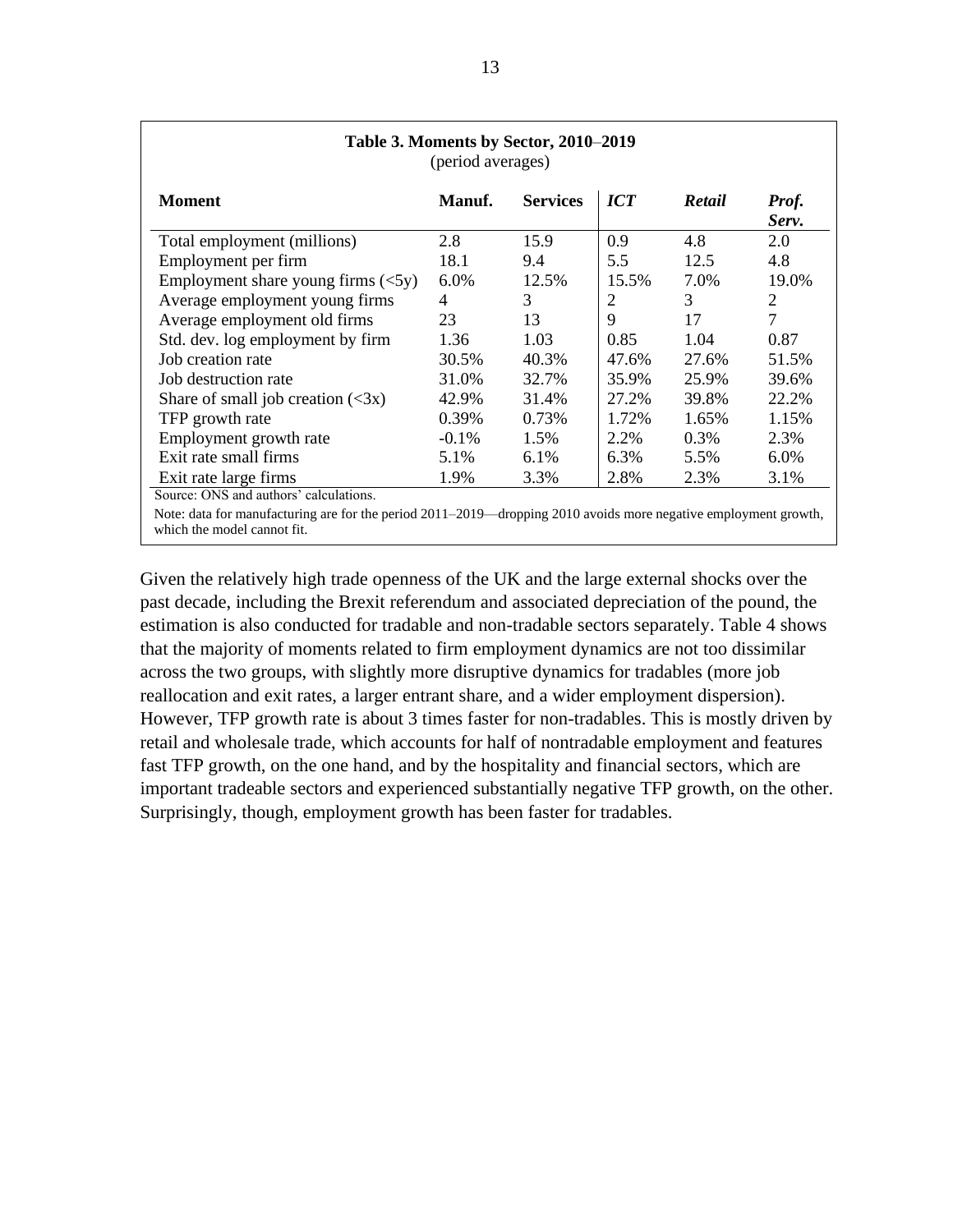| Table 3. Moments by Sector, 2010-2019<br>(period averages) |                 |                  |        |                |
|------------------------------------------------------------|-----------------|------------------|--------|----------------|
| Manuf.                                                     | <b>Services</b> | $\overline{ICT}$ | Retail | Prof.<br>Serv. |
| 2.8                                                        | 15.9            | 0.9              | 4.8    | 2.0            |
| 18.1                                                       | 9.4             | 5.5              | 12.5   | 4.8            |
| 6.0%                                                       | 12.5%           | 15.5%            | 7.0%   | 19.0%          |
| 4                                                          | 3               | 2                | 3      | $\overline{2}$ |
| 23                                                         | 13              | 9                | 17     | $\overline{7}$ |
| 1.36                                                       | 1.03            | 0.85             | 1.04   | 0.87           |
| 30.5%                                                      | 40.3%           | 47.6%            | 27.6%  | 51.5%          |
| 31.0%                                                      | 32.7%           | 35.9%            | 25.9%  | 39.6%          |
| 42.9%                                                      | 31.4%           | 27.2%            | 39.8%  | 22.2%          |
| 0.39%                                                      | 0.73%           | 1.72%            | 1.65%  | 1.15%          |
| $-0.1\%$                                                   | 1.5%            | 2.2%             | 0.3%   | 2.3%           |
| 5.1%                                                       | 6.1%            | 6.3%             | 5.5%   | 6.0%           |
| 1.9%                                                       | 3.3%            | 2.8%             | 2.3%   | 3.1%           |
|                                                            |                 |                  |        |                |

Note: data for manufacturing are for the period 2011–2019—dropping 2010 avoids more negative employment growth, which the model cannot fit.

Given the relatively high trade openness of the UK and the large external shocks over the past decade, including the Brexit referendum and associated depreciation of the pound, the estimation is also conducted for tradable and non-tradable sectors separately. Table 4 shows that the majority of moments related to firm employment dynamics are not too dissimilar across the two groups, with slightly more disruptive dynamics for tradables (more job reallocation and exit rates, a larger entrant share, and a wider employment dispersion). However, TFP growth rate is about 3 times faster for non-tradables. This is mostly driven by retail and wholesale trade, which accounts for half of nontradable employment and features fast TFP growth, on the one hand, and by the hospitality and financial sectors, which are important tradeable sectors and experienced substantially negative TFP growth, on the other. Surprisingly, though, employment growth has been faster for tradables.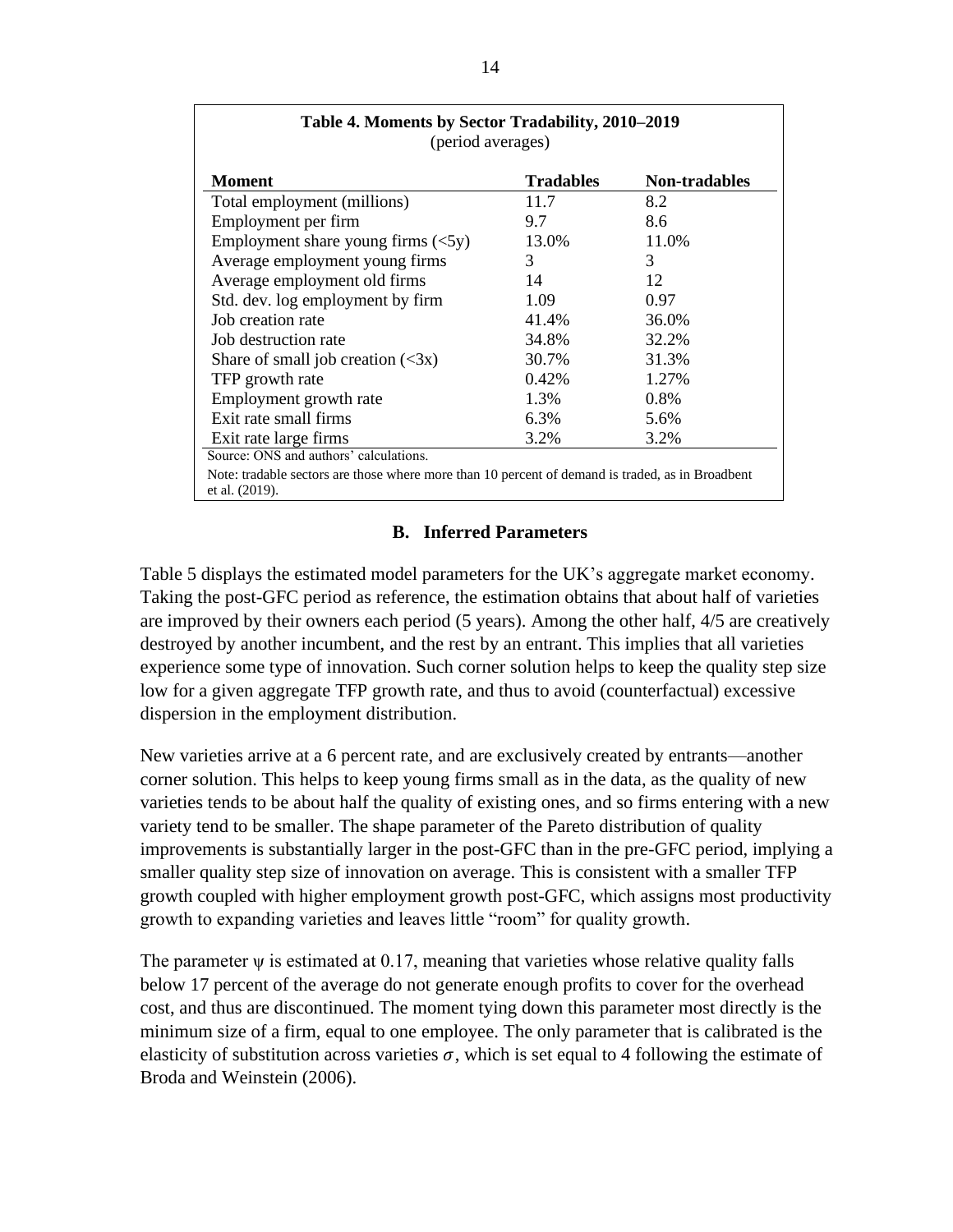| <b>Moment</b>                            | <b>Tradables</b> | <b>Non-tradables</b> |
|------------------------------------------|------------------|----------------------|
| Total employment (millions)              | 11.7             | 8.2                  |
| Employment per firm                      | 9.7              | 8.6                  |
| Employment share young firms $(\leq 5y)$ | 13.0%            | 11.0%                |
| Average employment young firms           | 3                | 3                    |
| Average employment old firms             | 14               | 12                   |
| Std. dev. log employment by firm         | 1.09             | 0.97                 |
| Job creation rate                        | 41.4%            | 36.0%                |
| Job destruction rate                     | 34.8%            | 32.2%                |
| Share of small job creation $(\leq 3x)$  | 30.7%            | 31.3%                |
| TFP growth rate                          | $0.42\%$         | 1.27%                |
| Employment growth rate                   | 1.3%             | $0.8\%$              |
| Exit rate small firms                    | 6.3%             | 5.6%                 |
| Exit rate large firms                    | 3.2%             | 3.2%                 |

# **B. Inferred Parameters**

Table 5 displays the estimated model parameters for the UK's aggregate market economy. Taking the post-GFC period as reference, the estimation obtains that about half of varieties are improved by their owners each period (5 years). Among the other half, 4/5 are creatively destroyed by another incumbent, and the rest by an entrant. This implies that all varieties experience some type of innovation. Such corner solution helps to keep the quality step size low for a given aggregate TFP growth rate, and thus to avoid (counterfactual) excessive dispersion in the employment distribution.

New varieties arrive at a 6 percent rate, and are exclusively created by entrants—another corner solution. This helps to keep young firms small as in the data, as the quality of new varieties tends to be about half the quality of existing ones, and so firms entering with a new variety tend to be smaller. The shape parameter of the Pareto distribution of quality improvements is substantially larger in the post-GFC than in the pre-GFC period, implying a smaller quality step size of innovation on average. This is consistent with a smaller TFP growth coupled with higher employment growth post-GFC, which assigns most productivity growth to expanding varieties and leaves little "room" for quality growth.

The parameter  $\psi$  is estimated at 0.17, meaning that varieties whose relative quality falls below 17 percent of the average do not generate enough profits to cover for the overhead cost, and thus are discontinued. The moment tying down this parameter most directly is the minimum size of a firm, equal to one employee. The only parameter that is calibrated is the elasticity of substitution across varieties  $\sigma$ , which is set equal to 4 following the estimate of Broda and Weinstein (2006).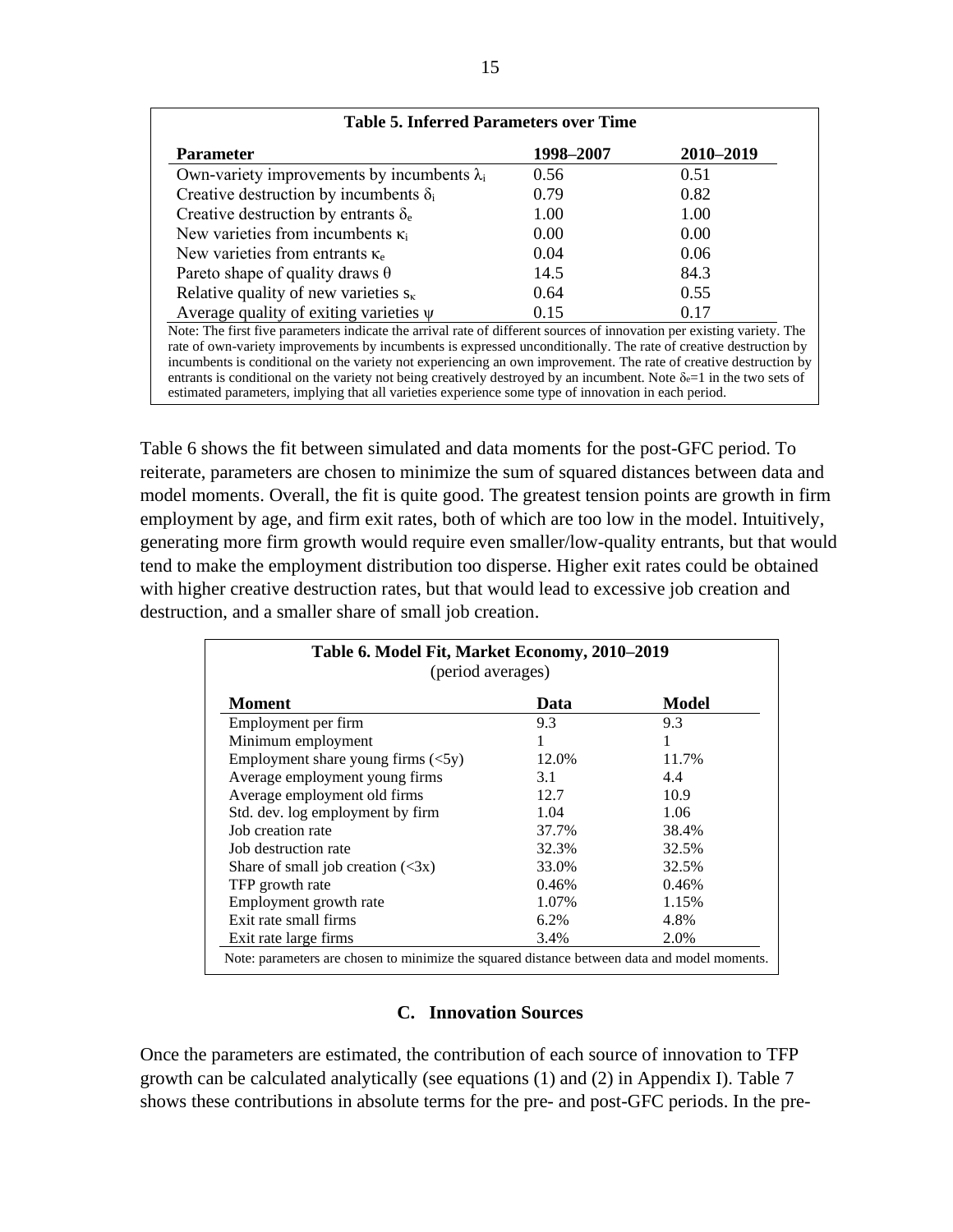| <b>Table 5. Inferred Parameters over Time</b>                                                                                                                                                                                                                                                                                                                                                                                                                                                                                                                                                          |           |           |  |
|--------------------------------------------------------------------------------------------------------------------------------------------------------------------------------------------------------------------------------------------------------------------------------------------------------------------------------------------------------------------------------------------------------------------------------------------------------------------------------------------------------------------------------------------------------------------------------------------------------|-----------|-----------|--|
| <b>Parameter</b>                                                                                                                                                                                                                                                                                                                                                                                                                                                                                                                                                                                       | 1998–2007 | 2010-2019 |  |
| Own-variety improvements by incumbents $\lambda_i$                                                                                                                                                                                                                                                                                                                                                                                                                                                                                                                                                     | 0.56      | 0.51      |  |
| Creative destruction by incumbents $\delta_i$                                                                                                                                                                                                                                                                                                                                                                                                                                                                                                                                                          | 0.79      | 0.82      |  |
| Creative destruction by entrants $\delta_e$                                                                                                                                                                                                                                                                                                                                                                                                                                                                                                                                                            | 1.00      | 1.00      |  |
| New varieties from incumbents $\kappa_i$                                                                                                                                                                                                                                                                                                                                                                                                                                                                                                                                                               | 0.00      | 0.00      |  |
| New varieties from entrants $\kappa_e$                                                                                                                                                                                                                                                                                                                                                                                                                                                                                                                                                                 | 0.04      | 0.06      |  |
| Pareto shape of quality draws $\theta$                                                                                                                                                                                                                                                                                                                                                                                                                                                                                                                                                                 | 14.5      | 84.3      |  |
| Relative quality of new varieties $s_{\kappa}$                                                                                                                                                                                                                                                                                                                                                                                                                                                                                                                                                         | 0.64      | 0.55      |  |
| Average quality of exiting varieties $\psi$                                                                                                                                                                                                                                                                                                                                                                                                                                                                                                                                                            | 015       | 0.17      |  |
| Note: The first five parameters indicate the arrival rate of different sources of innovation per existing variety. The<br>rate of own-variety improvements by incumbents is expressed unconditionally. The rate of creative destruction by<br>incumbents is conditional on the variety not experiencing an own improvement. The rate of creative destruction by<br>entrants is conditional on the variety not being creatively destroyed by an incumbent. Note $\delta e=1$ in the two sets of<br>estimated parameters, implying that all varieties experience some type of innovation in each period. |           |           |  |

Table 6 shows the fit between simulated and data moments for the post-GFC period. To reiterate, parameters are chosen to minimize the sum of squared distances between data and model moments. Overall, the fit is quite good. The greatest tension points are growth in firm employment by age, and firm exit rates, both of which are too low in the model. Intuitively, generating more firm growth would require even smaller/low-quality entrants, but that would tend to make the employment distribution too disperse. Higher exit rates could be obtained with higher creative destruction rates, but that would lead to excessive job creation and destruction, and a smaller share of small job creation.

| Table 6. Model Fit, Market Economy, 2010-2019<br>(period averages) |       |              |
|--------------------------------------------------------------------|-------|--------------|
| <b>Moment</b>                                                      | Data  | <b>Model</b> |
| Employment per firm                                                | 9.3   | 9.3          |
| Minimum employment                                                 |       |              |
| Employment share young firms $(<5y)$                               | 12.0% | 11.7%        |
| Average employment young firms                                     | 3.1   | 4.4          |
| Average employment old firms                                       | 12.7  | 10.9         |
| Std. dev. log employment by firm                                   | 1.04  | 1.06         |
| Job creation rate                                                  | 37.7% | 38.4%        |
| Job destruction rate                                               | 32.3% | 32.5%        |
| Share of small job creation $(\leq 3x)$                            | 33.0% | 32.5%        |
| TFP growth rate                                                    | 0.46% | 0.46%        |
| Employment growth rate                                             | 1.07% | 1.15%        |
| Exit rate small firms                                              | 6.2%  | 4.8%         |
| Exit rate large firms                                              | 3.4%  | 2.0%         |

# **C. Innovation Sources**

Once the parameters are estimated, the contribution of each source of innovation to TFP growth can be calculated analytically (see equations (1) and (2) in Appendix I). Table 7 shows these contributions in absolute terms for the pre- and post-GFC periods. In the pre-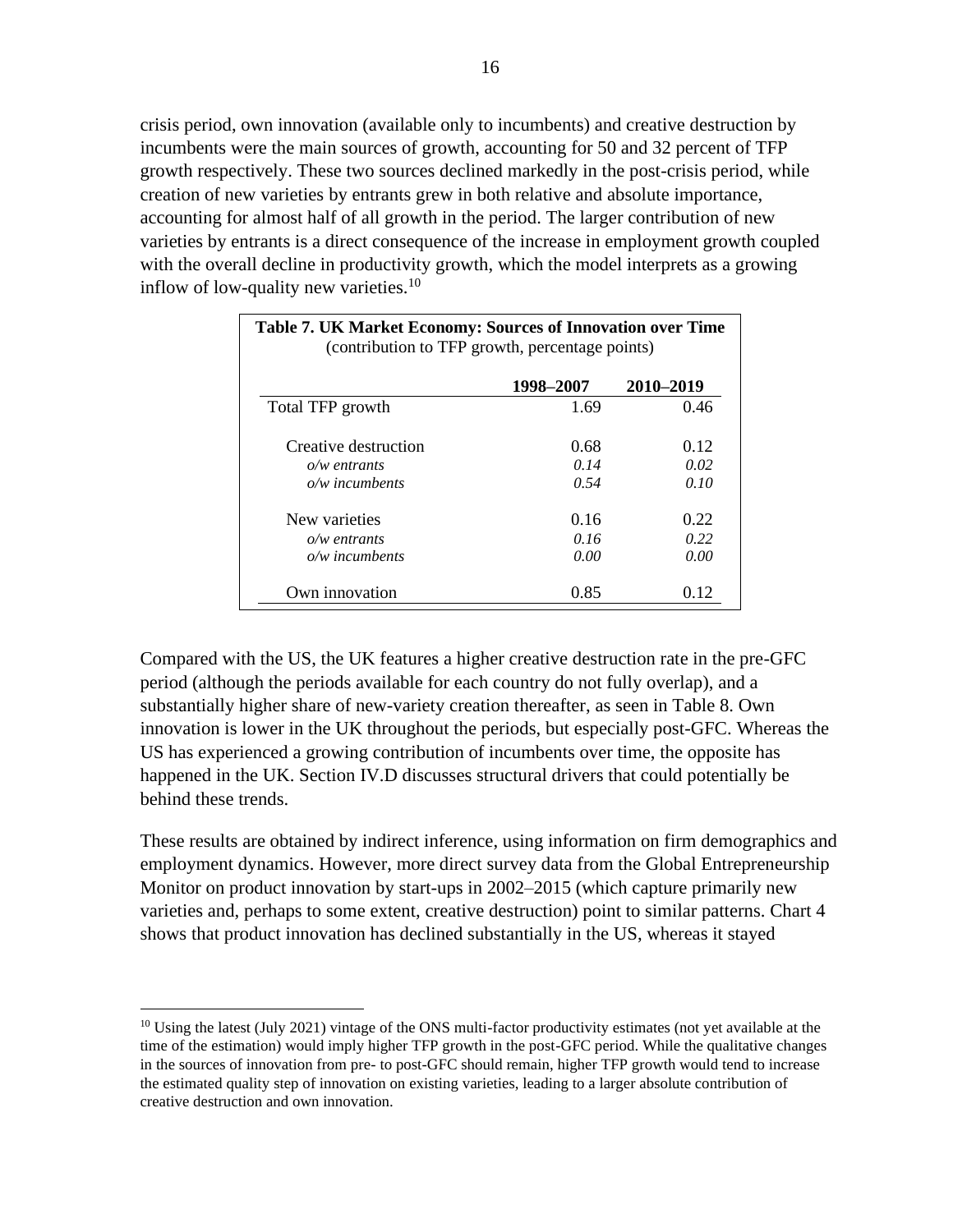crisis period, own innovation (available only to incumbents) and creative destruction by incumbents were the main sources of growth, accounting for 50 and 32 percent of TFP growth respectively. These two sources declined markedly in the post-crisis period, while creation of new varieties by entrants grew in both relative and absolute importance, accounting for almost half of all growth in the period. The larger contribution of new varieties by entrants is a direct consequence of the increase in employment growth coupled with the overall decline in productivity growth, which the model interprets as a growing inflow of low-quality new varieties.<sup>10</sup>

| Table 7. UK Market Economy: Sources of Innovation over Time<br>(contribution to TFP growth, percentage points) |           |           |
|----------------------------------------------------------------------------------------------------------------|-----------|-----------|
|                                                                                                                | 1998–2007 | 2010-2019 |
| Total TFP growth                                                                                               | 1.69      | 0.46      |
| Creative destruction                                                                                           | 0.68      | 0.12      |
| $o/w$ entrants                                                                                                 | 0.14      | 0.02      |
| $o/w$ incumbents                                                                                               | 0.54      | 0.10      |
| New varieties                                                                                                  | 0.16      | 0.22      |
| $o/w$ entrants                                                                                                 | 0.16      | 0.22      |
| $o/w$ incumbents                                                                                               | 0.00      | 0.00      |
| Own innovation                                                                                                 | 0.85      | 0.12      |

Compared with the US, the UK features a higher creative destruction rate in the pre-GFC period (although the periods available for each country do not fully overlap), and a substantially higher share of new-variety creation thereafter, as seen in Table 8. Own innovation is lower in the UK throughout the periods, but especially post-GFC. Whereas the US has experienced a growing contribution of incumbents over time, the opposite has happened in the UK. Section IV.D discusses structural drivers that could potentially be behind these trends.

These results are obtained by indirect inference, using information on firm demographics and employment dynamics. However, more direct survey data from the Global Entrepreneurship Monitor on product innovation by start-ups in 2002–2015 (which capture primarily new varieties and, perhaps to some extent, creative destruction) point to similar patterns. Chart 4 shows that product innovation has declined substantially in the US, whereas it stayed

<sup>&</sup>lt;sup>10</sup> Using the latest (July 2021) vintage of the ONS multi-factor productivity estimates (not yet available at the time of the estimation) would imply higher TFP growth in the post-GFC period. While the qualitative changes in the sources of innovation from pre- to post-GFC should remain, higher TFP growth would tend to increase the estimated quality step of innovation on existing varieties, leading to a larger absolute contribution of creative destruction and own innovation.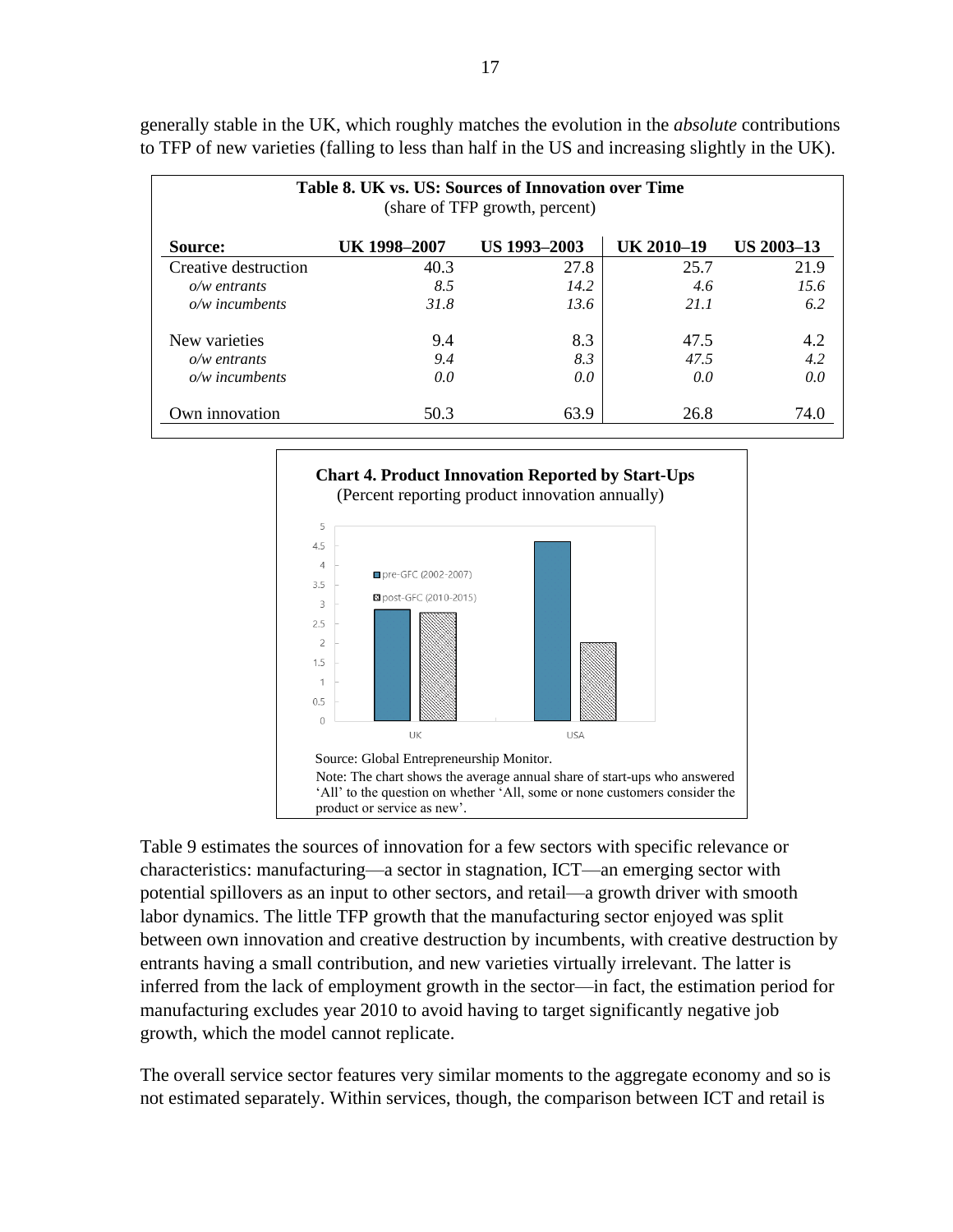| Table 8. UK vs. US: Sources of Innovation over Time<br>(share of TFP growth, percent) |              |              |            |                   |
|---------------------------------------------------------------------------------------|--------------|--------------|------------|-------------------|
| Source:                                                                               | UK 1998-2007 | US 1993-2003 | UK 2010-19 | <b>US 2003-13</b> |
| Creative destruction                                                                  | 40.3         | 27.8         | 25.7       | 21.9              |
| $o/w$ entrants                                                                        | 8.5          | 14.2         | 4.6        | 15.6              |
| $o/w$ incumbents                                                                      | 31.8         | 13.6         | 21.1       | 6.2               |
| New varieties                                                                         | 9.4          | 8.3          | 47.5       | 4.2               |
| $o/w$ entrants                                                                        | 9.4          | 8.3          | 47.5       | 4.2               |
| $o/w$ incumbents                                                                      | 0.0          | 0.0          | 0.0        | 0.0               |
| Own innovation                                                                        | 50.3         | 63.9         | 26.8       | 74.0              |

generally stable in the UK, which roughly matches the evolution in the *absolute* contributions to TFP of new varieties (falling to less than half in the US and increasing slightly in the UK).



Table 9 estimates the sources of innovation for a few sectors with specific relevance or characteristics: manufacturing—a sector in stagnation, ICT—an emerging sector with potential spillovers as an input to other sectors, and retail—a growth driver with smooth labor dynamics. The little TFP growth that the manufacturing sector enjoyed was split between own innovation and creative destruction by incumbents, with creative destruction by entrants having a small contribution, and new varieties virtually irrelevant. The latter is inferred from the lack of employment growth in the sector—in fact, the estimation period for manufacturing excludes year 2010 to avoid having to target significantly negative job growth, which the model cannot replicate.

The overall service sector features very similar moments to the aggregate economy and so is not estimated separately. Within services, though, the comparison between ICT and retail is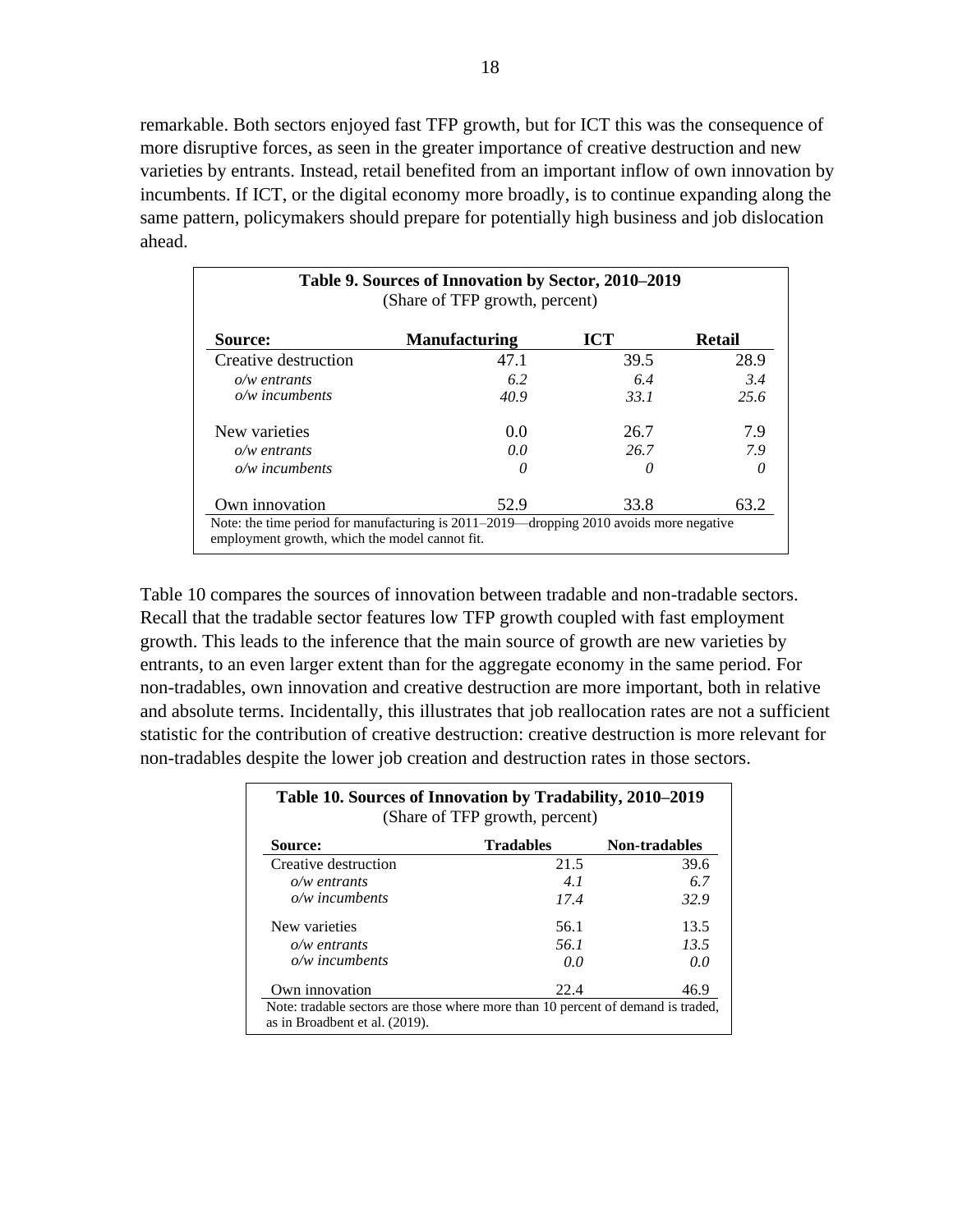remarkable. Both sectors enjoyed fast TFP growth, but for ICT this was the consequence of more disruptive forces, as seen in the greater importance of creative destruction and new varieties by entrants. Instead, retail benefited from an important inflow of own innovation by incumbents. If ICT, or the digital economy more broadly, is to continue expanding along the same pattern, policymakers should prepare for potentially high business and job dislocation ahead.

| Source:              | <b>Manufacturing</b> | <b>ICT</b> | <b>Retail</b> |
|----------------------|----------------------|------------|---------------|
| Creative destruction | 47.1                 | 39.5       | 28.9          |
| $o/w$ entrants       | 6.2                  | 6.4        | 3.4           |
| $o/w$ incumbents     | 40.9                 | 33.1       | 25.6          |
| New varieties        | 0.0                  | 26.7       | 7.9           |
| $o/w$ entrants       | 0.0                  | 26.7       | 7.9           |
| $o/w$ incumbents     | 0                    | ( )        | 0             |
| Own innovation       | 52.9                 | 33.8       | 63.2          |

Table 10 compares the sources of innovation between tradable and non-tradable sectors. Recall that the tradable sector features low TFP growth coupled with fast employment growth. This leads to the inference that the main source of growth are new varieties by entrants, to an even larger extent than for the aggregate economy in the same period. For non-tradables, own innovation and creative destruction are more important, both in relative and absolute terms. Incidentally, this illustrates that job reallocation rates are not a sufficient statistic for the contribution of creative destruction: creative destruction is more relevant for non-tradables despite the lower job creation and destruction rates in those sectors.

| Table 10. Sources of Innovation by Tradability, 2010–2019<br>(Share of TFP growth, percent) |                  |                      |
|---------------------------------------------------------------------------------------------|------------------|----------------------|
| Source:                                                                                     | <b>Tradables</b> | <b>Non-tradables</b> |
| Creative destruction                                                                        | 21.5             | 39.6                 |
| $o/w$ entrants                                                                              | 4.1              | 6.7                  |
| $o/w$ incumbents                                                                            | 17.4             | 32.9                 |
| New varieties                                                                               | 56.1             | 13.5                 |
| $o/w$ entrants                                                                              | 56.1             | 13.5                 |
| $o/w$ incumbents                                                                            | 0.0              | 0.0                  |
| Own innovation                                                                              | 22.4             | 46.9                 |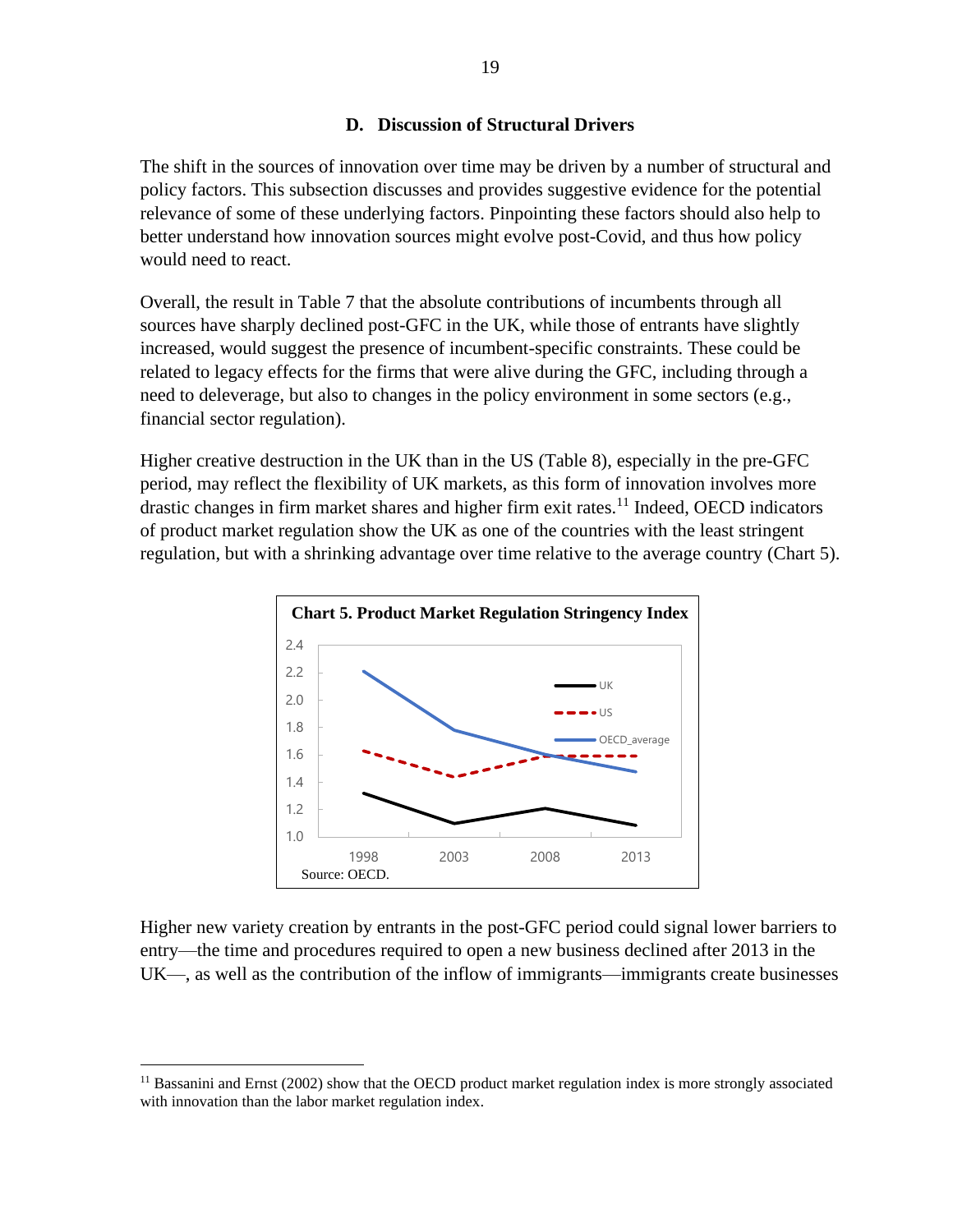# **D. Discussion of Structural Drivers**

The shift in the sources of innovation over time may be driven by a number of structural and policy factors. This subsection discusses and provides suggestive evidence for the potential relevance of some of these underlying factors. Pinpointing these factors should also help to better understand how innovation sources might evolve post-Covid, and thus how policy would need to react.

Overall, the result in Table 7 that the absolute contributions of incumbents through all sources have sharply declined post-GFC in the UK, while those of entrants have slightly increased, would suggest the presence of incumbent-specific constraints. These could be related to legacy effects for the firms that were alive during the GFC, including through a need to deleverage, but also to changes in the policy environment in some sectors (e.g., financial sector regulation).

Higher creative destruction in the UK than in the US (Table 8), especially in the pre-GFC period, may reflect the flexibility of UK markets, as this form of innovation involves more drastic changes in firm market shares and higher firm exit rates.<sup>11</sup> Indeed, OECD indicators of product market regulation show the UK as one of the countries with the least stringent regulation, but with a shrinking advantage over time relative to the average country (Chart 5).



Higher new variety creation by entrants in the post-GFC period could signal lower barriers to entry—the time and procedures required to open a new business declined after 2013 in the UK—, as well as the contribution of the inflow of immigrants—immigrants create businesses

<sup>&</sup>lt;sup>11</sup> Bassanini and Ernst (2002) show that the OECD product market regulation index is more strongly associated with innovation than the labor market regulation index.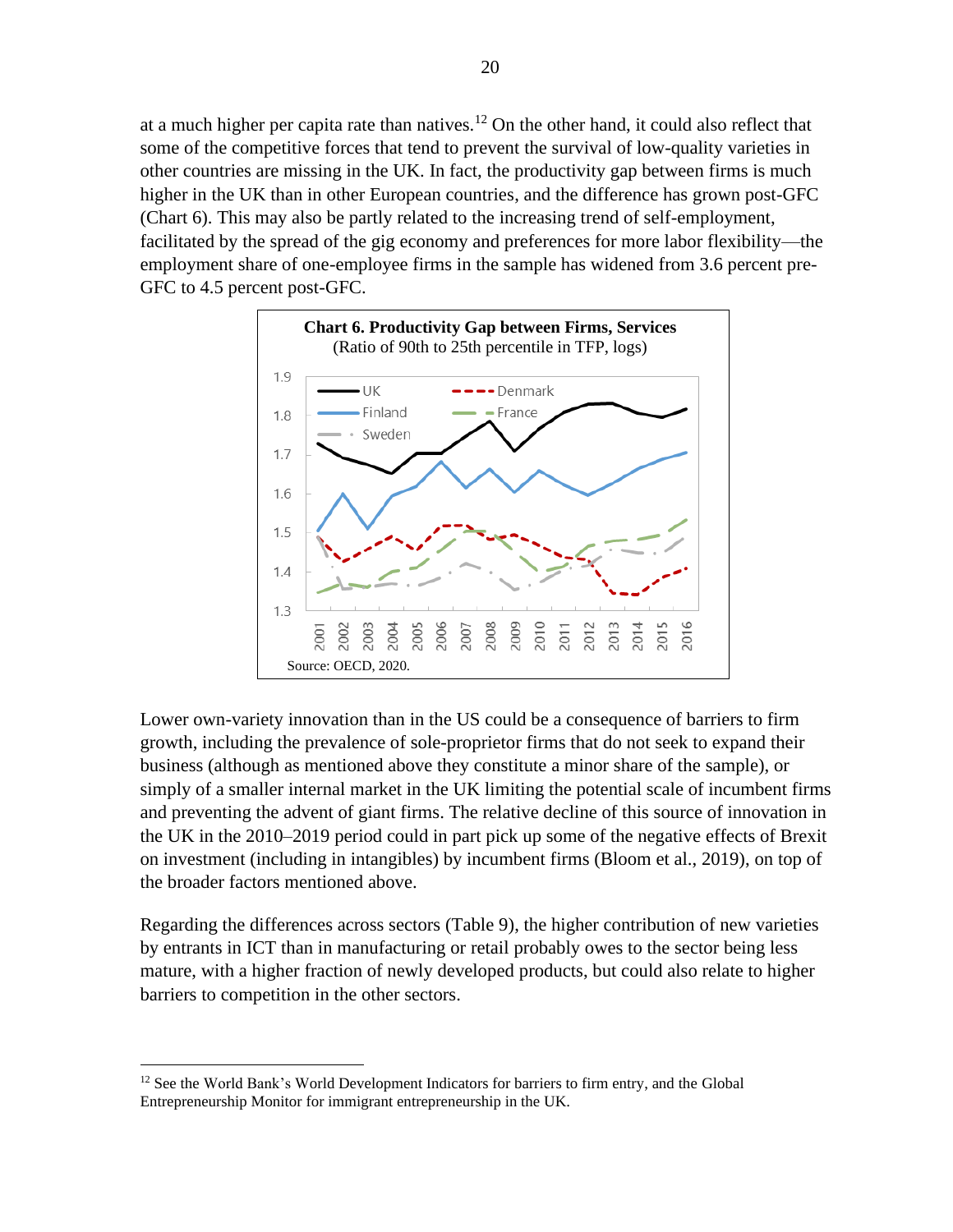at a much higher per capita rate than natives.<sup>12</sup> On the other hand, it could also reflect that some of the competitive forces that tend to prevent the survival of low-quality varieties in other countries are missing in the UK. In fact, the productivity gap between firms is much higher in the UK than in other European countries, and the difference has grown post-GFC (Chart 6). This may also be partly related to the increasing trend of self-employment, facilitated by the spread of the gig economy and preferences for more labor flexibility—the employment share of one-employee firms in the sample has widened from 3.6 percent pre-GFC to 4.5 percent post-GFC.



Lower own-variety innovation than in the US could be a consequence of barriers to firm growth, including the prevalence of sole-proprietor firms that do not seek to expand their business (although as mentioned above they constitute a minor share of the sample), or simply of a smaller internal market in the UK limiting the potential scale of incumbent firms and preventing the advent of giant firms. The relative decline of this source of innovation in the UK in the 2010–2019 period could in part pick up some of the negative effects of Brexit on investment (including in intangibles) by incumbent firms (Bloom et al., 2019), on top of the broader factors mentioned above.

Regarding the differences across sectors (Table 9), the higher contribution of new varieties by entrants in ICT than in manufacturing or retail probably owes to the sector being less mature, with a higher fraction of newly developed products, but could also relate to higher barriers to competition in the other sectors.

<sup>&</sup>lt;sup>12</sup> See the World Bank's World Development Indicators for barriers to firm entry, and the Global Entrepreneurship Monitor for immigrant entrepreneurship in the UK.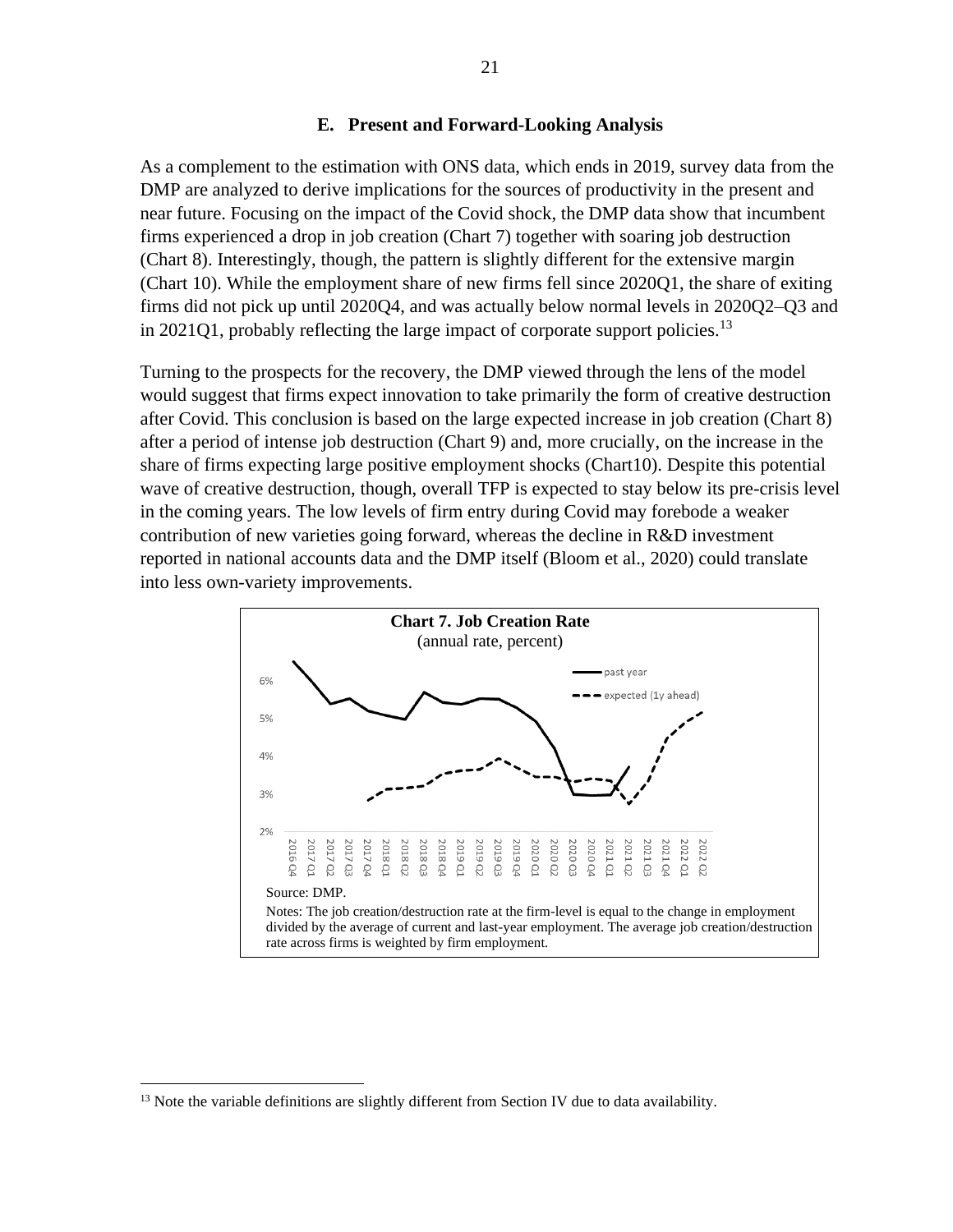# **E. Present and Forward-Looking Analysis**

As a complement to the estimation with ONS data, which ends in 2019, survey data from the DMP are analyzed to derive implications for the sources of productivity in the present and near future. Focusing on the impact of the Covid shock, the DMP data show that incumbent firms experienced a drop in job creation (Chart 7) together with soaring job destruction (Chart 8). Interestingly, though, the pattern is slightly different for the extensive margin (Chart 10). While the employment share of new firms fell since 2020Q1, the share of exiting firms did not pick up until 2020Q4, and was actually below normal levels in 2020Q2–Q3 and in 2021Q1, probably reflecting the large impact of corporate support policies.<sup>13</sup>

Turning to the prospects for the recovery, the DMP viewed through the lens of the model would suggest that firms expect innovation to take primarily the form of creative destruction after Covid. This conclusion is based on the large expected increase in job creation (Chart 8) after a period of intense job destruction (Chart 9) and, more crucially, on the increase in the share of firms expecting large positive employment shocks (Chart10). Despite this potential wave of creative destruction, though, overall TFP is expected to stay below its pre-crisis level in the coming years. The low levels of firm entry during Covid may forebode a weaker contribution of new varieties going forward, whereas the decline in R&D investment reported in national accounts data and the DMP itself (Bloom et al., 2020) could translate into less own-variety improvements.



<sup>&</sup>lt;sup>13</sup> Note the variable definitions are slightly different from Section IV due to data availability.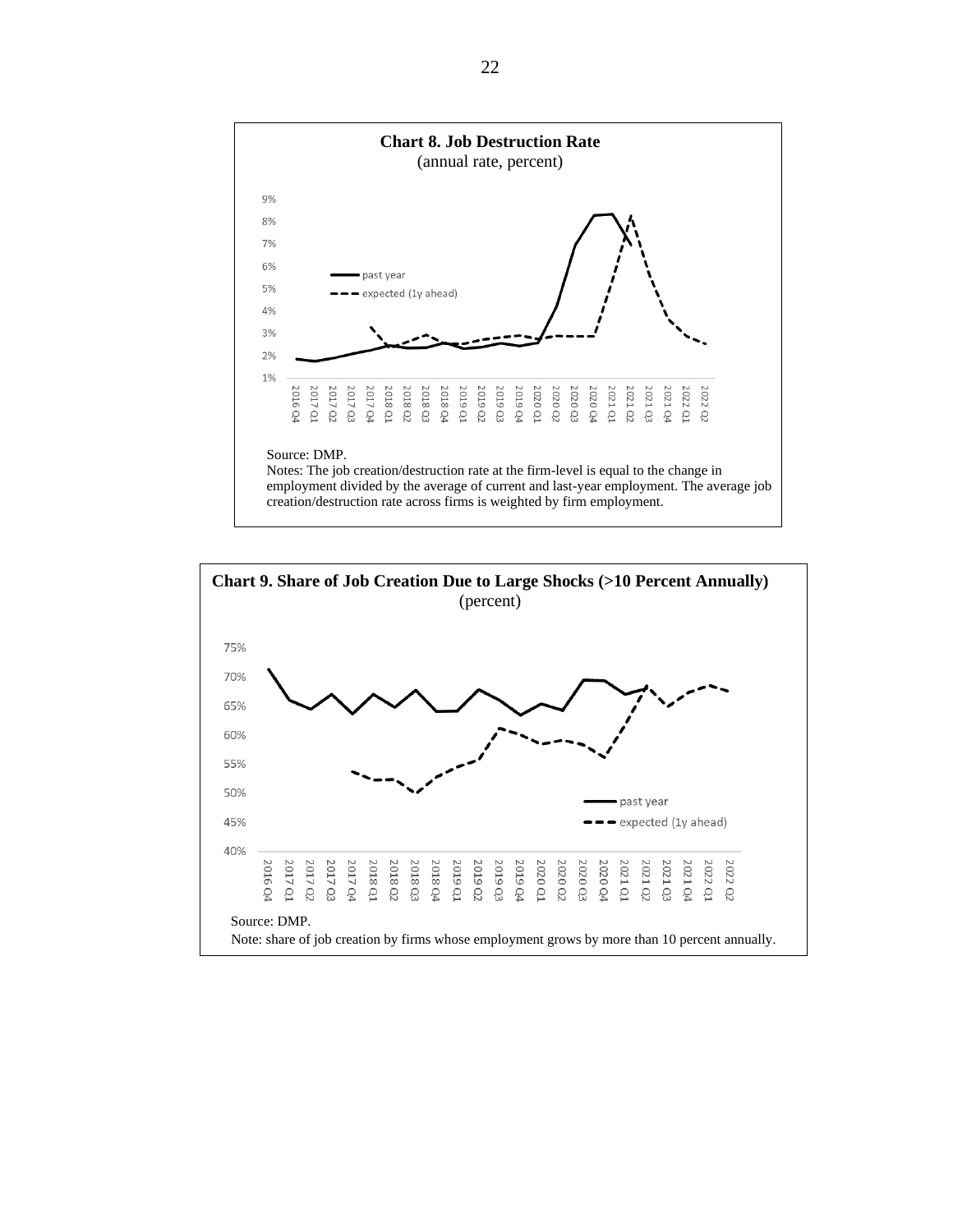

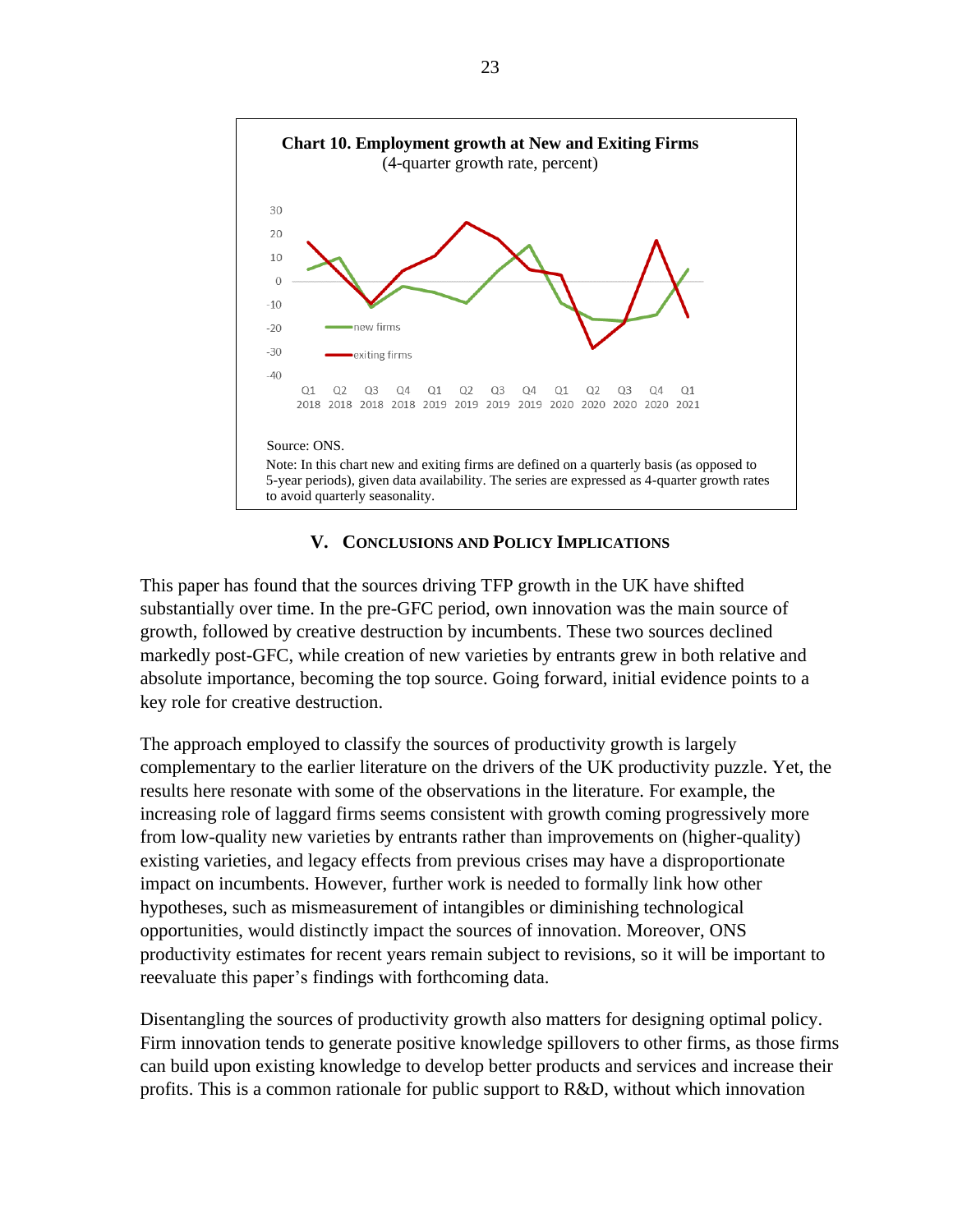

# **V. CONCLUSIONS AND POLICY IMPLICATIONS**

This paper has found that the sources driving TFP growth in the UK have shifted substantially over time. In the pre-GFC period, own innovation was the main source of growth, followed by creative destruction by incumbents. These two sources declined markedly post-GFC, while creation of new varieties by entrants grew in both relative and absolute importance, becoming the top source. Going forward, initial evidence points to a key role for creative destruction.

The approach employed to classify the sources of productivity growth is largely complementary to the earlier literature on the drivers of the UK productivity puzzle. Yet, the results here resonate with some of the observations in the literature. For example, the increasing role of laggard firms seems consistent with growth coming progressively more from low-quality new varieties by entrants rather than improvements on (higher-quality) existing varieties, and legacy effects from previous crises may have a disproportionate impact on incumbents. However, further work is needed to formally link how other hypotheses, such as mismeasurement of intangibles or diminishing technological opportunities, would distinctly impact the sources of innovation. Moreover, ONS productivity estimates for recent years remain subject to revisions, so it will be important to reevaluate this paper's findings with forthcoming data.

Disentangling the sources of productivity growth also matters for designing optimal policy. Firm innovation tends to generate positive knowledge spillovers to other firms, as those firms can build upon existing knowledge to develop better products and services and increase their profits. This is a common rationale for public support to R&D, without which innovation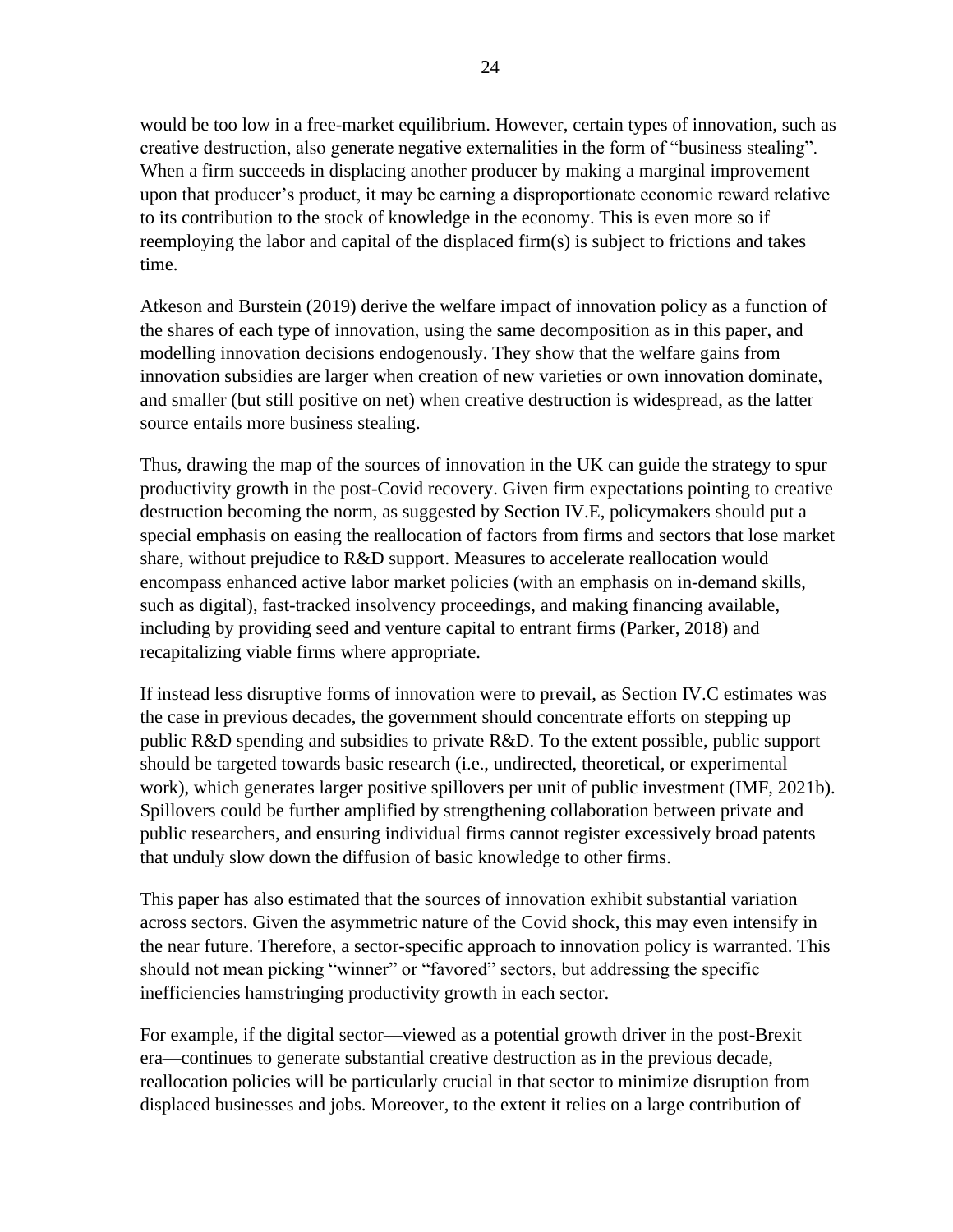would be too low in a free-market equilibrium. However, certain types of innovation, such as creative destruction, also generate negative externalities in the form of "business stealing". When a firm succeeds in displacing another producer by making a marginal improvement upon that producer's product, it may be earning a disproportionate economic reward relative to its contribution to the stock of knowledge in the economy. This is even more so if reemploying the labor and capital of the displaced firm(s) is subject to frictions and takes time.

Atkeson and Burstein (2019) derive the welfare impact of innovation policy as a function of the shares of each type of innovation, using the same decomposition as in this paper, and modelling innovation decisions endogenously. They show that the welfare gains from innovation subsidies are larger when creation of new varieties or own innovation dominate, and smaller (but still positive on net) when creative destruction is widespread, as the latter source entails more business stealing.

Thus, drawing the map of the sources of innovation in the UK can guide the strategy to spur productivity growth in the post-Covid recovery. Given firm expectations pointing to creative destruction becoming the norm, as suggested by Section IV.E, policymakers should put a special emphasis on easing the reallocation of factors from firms and sectors that lose market share, without prejudice to R&D support. Measures to accelerate reallocation would encompass enhanced active labor market policies (with an emphasis on in-demand skills, such as digital), fast-tracked insolvency proceedings, and making financing available, including by providing seed and venture capital to entrant firms (Parker, 2018) and recapitalizing viable firms where appropriate.

If instead less disruptive forms of innovation were to prevail, as Section IV.C estimates was the case in previous decades, the government should concentrate efforts on stepping up public R&D spending and subsidies to private R&D. To the extent possible, public support should be targeted towards basic research (i.e., undirected, theoretical, or experimental work), which generates larger positive spillovers per unit of public investment (IMF, 2021b). Spillovers could be further amplified by strengthening collaboration between private and public researchers, and ensuring individual firms cannot register excessively broad patents that unduly slow down the diffusion of basic knowledge to other firms.

This paper has also estimated that the sources of innovation exhibit substantial variation across sectors. Given the asymmetric nature of the Covid shock, this may even intensify in the near future. Therefore, a sector-specific approach to innovation policy is warranted. This should not mean picking "winner" or "favored" sectors, but addressing the specific inefficiencies hamstringing productivity growth in each sector.

For example, if the digital sector—viewed as a potential growth driver in the post-Brexit era—continues to generate substantial creative destruction as in the previous decade, reallocation policies will be particularly crucial in that sector to minimize disruption from displaced businesses and jobs. Moreover, to the extent it relies on a large contribution of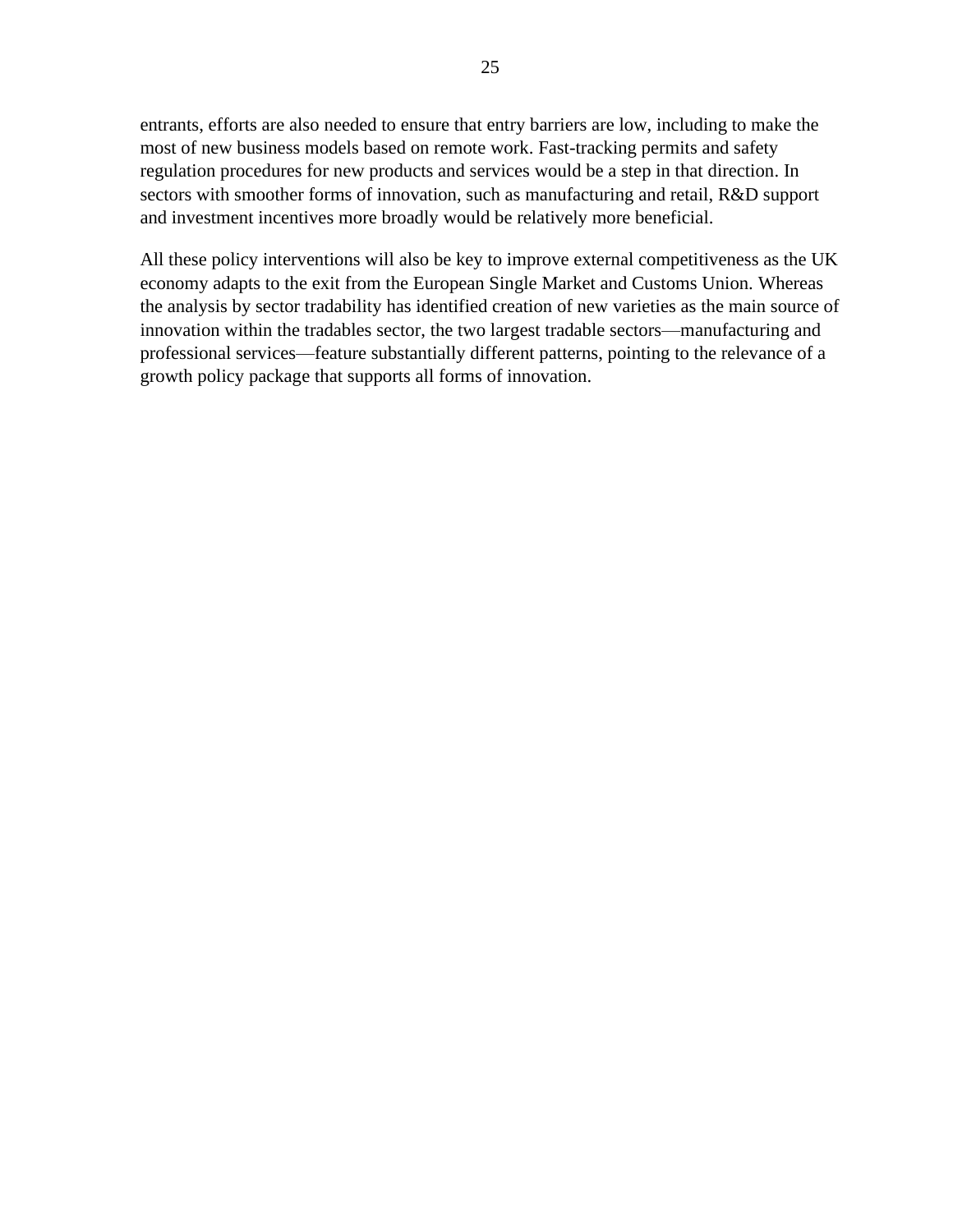entrants, efforts are also needed to ensure that entry barriers are low, including to make the most of new business models based on remote work. Fast-tracking permits and safety regulation procedures for new products and services would be a step in that direction. In sectors with smoother forms of innovation, such as manufacturing and retail, R&D support and investment incentives more broadly would be relatively more beneficial.

All these policy interventions will also be key to improve external competitiveness as the UK economy adapts to the exit from the European Single Market and Customs Union. Whereas the analysis by sector tradability has identified creation of new varieties as the main source of innovation within the tradables sector, the two largest tradable sectors—manufacturing and professional services—feature substantially different patterns, pointing to the relevance of a growth policy package that supports all forms of innovation.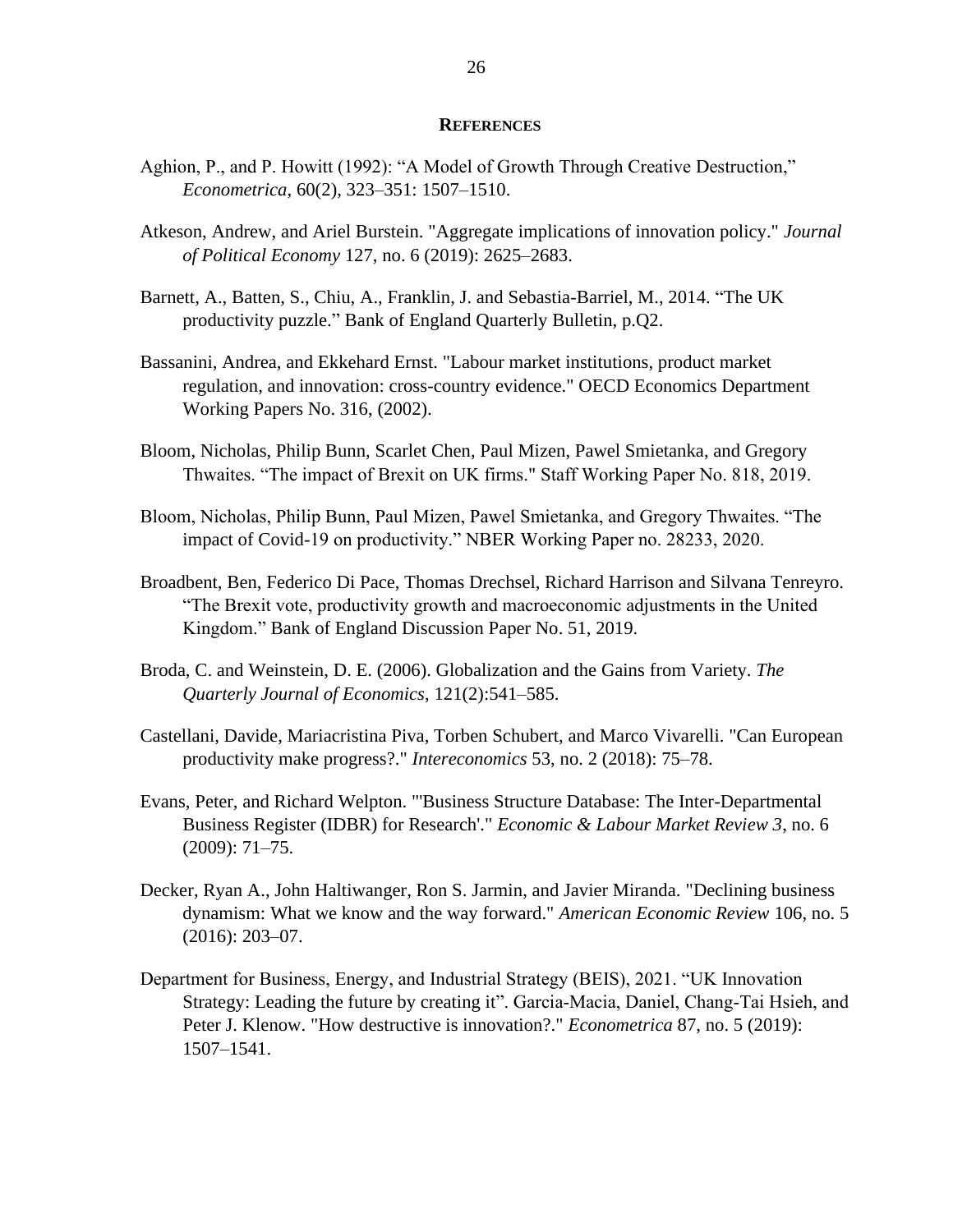#### **REFERENCES**

- Aghion, P., and P. Howitt (1992): "A Model of Growth Through Creative Destruction," *Econometrica*, 60(2), 323–351: 1507–1510.
- Atkeson, Andrew, and Ariel Burstein. "Aggregate implications of innovation policy." *Journal of Political Economy* 127, no. 6 (2019): 2625–2683.
- Barnett, A., Batten, S., Chiu, A., Franklin, J. and Sebastia-Barriel, M., 2014. "The UK productivity puzzle." Bank of England Quarterly Bulletin, p.Q2.
- Bassanini, Andrea, and Ekkehard Ernst. "Labour market institutions, product market regulation, and innovation: cross-country evidence." OECD Economics Department Working Papers No. 316, (2002).
- Bloom, Nicholas, Philip Bunn, Scarlet Chen, Paul Mizen, Pawel Smietanka, and Gregory Thwaites. "The impact of Brexit on UK firms." Staff Working Paper No. 818, 2019.
- Bloom, Nicholas, Philip Bunn, Paul Mizen, Pawel Smietanka, and Gregory Thwaites. "The impact of Covid-19 on productivity." NBER Working Paper no. 28233, 2020.
- Broadbent, Ben, Federico Di Pace, Thomas Drechsel, Richard Harrison and Silvana Tenreyro. "The Brexit vote, productivity growth and macroeconomic adjustments in the United Kingdom." Bank of England Discussion Paper No. 51, 2019.
- Broda, C. and Weinstein, D. E. (2006). Globalization and the Gains from Variety. *The Quarterly Journal of Economics*, 121(2):541–585.
- Castellani, Davide, Mariacristina Piva, Torben Schubert, and Marco Vivarelli. "Can European productivity make progress?." *Intereconomics* 53, no. 2 (2018): 75–78.
- Evans, Peter, and Richard Welpton. "'Business Structure Database: The Inter-Departmental Business Register (IDBR) for Research'." *Economic & Labour Market Review 3*, no. 6 (2009): 71–75.
- Decker, Ryan A., John Haltiwanger, Ron S. Jarmin, and Javier Miranda. "Declining business dynamism: What we know and the way forward." *American Economic Review* 106, no. 5 (2016): 203–07.
- Department for Business, Energy, and Industrial Strategy (BEIS), 2021. "UK Innovation Strategy: Leading the future by creating it". Garcia‐Macia, Daniel, Chang‐Tai Hsieh, and Peter J. Klenow. "How destructive is innovation?." *Econometrica* 87, no. 5 (2019): 1507–1541.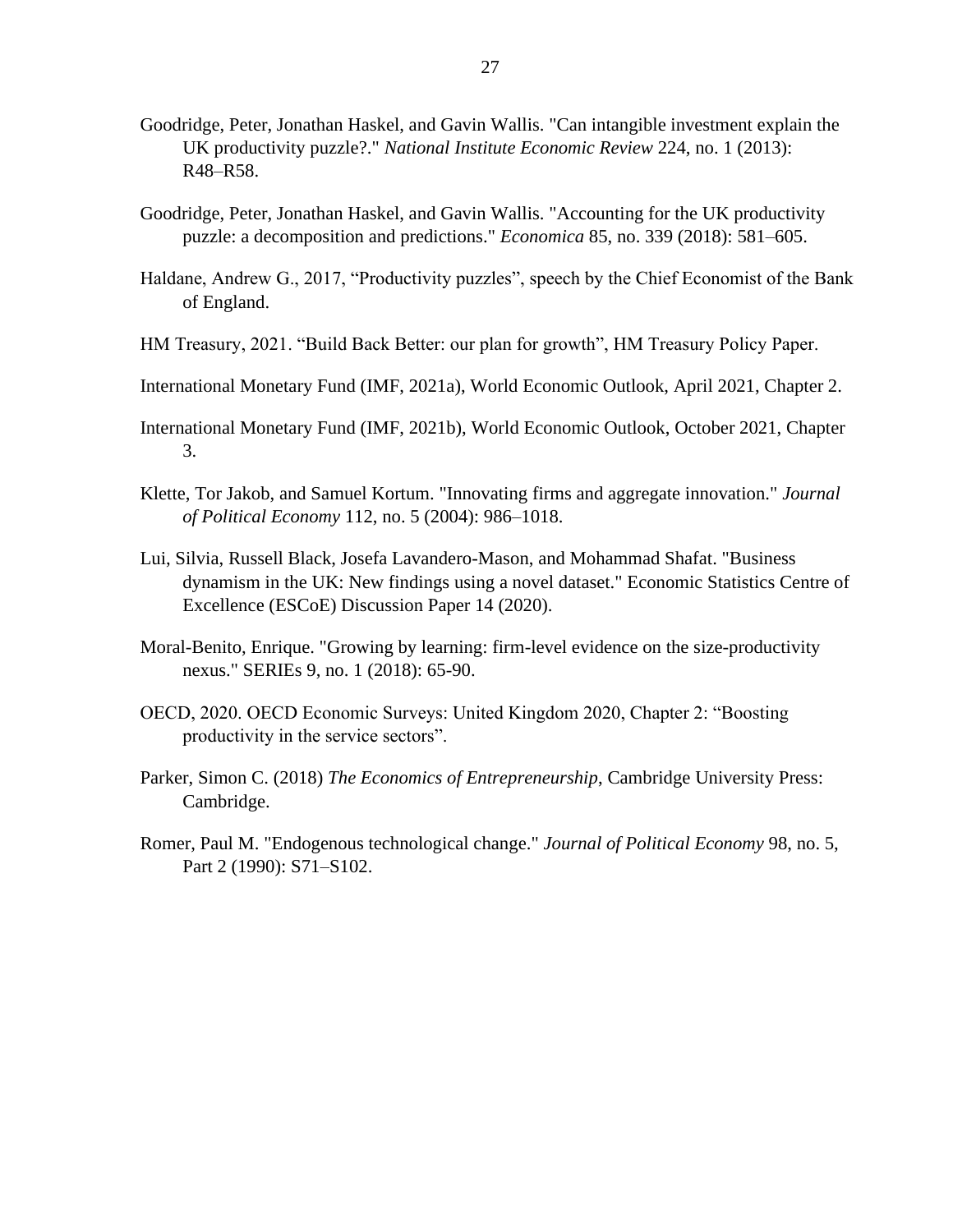- Goodridge, Peter, Jonathan Haskel, and Gavin Wallis. "Can intangible investment explain the UK productivity puzzle?." *National Institute Economic Review* 224, no. 1 (2013): R48–R58.
- Goodridge, Peter, Jonathan Haskel, and Gavin Wallis. "Accounting for the UK productivity puzzle: a decomposition and predictions." *Economica* 85, no. 339 (2018): 581–605.
- Haldane, Andrew G., 2017, "Productivity puzzles", speech by the Chief Economist of the Bank of England.
- HM Treasury, 2021. "Build Back Better: our plan for growth", HM Treasury Policy Paper.
- International Monetary Fund (IMF, 2021a), World Economic Outlook, April 2021, Chapter 2.
- International Monetary Fund (IMF, 2021b), World Economic Outlook, October 2021, Chapter 3.
- Klette, Tor Jakob, and Samuel Kortum. "Innovating firms and aggregate innovation." *Journal of Political Economy* 112, no. 5 (2004): 986–1018.
- Lui, Silvia, Russell Black, Josefa Lavandero-Mason, and Mohammad Shafat. "Business dynamism in the UK: New findings using a novel dataset." Economic Statistics Centre of Excellence (ESCoE) Discussion Paper 14 (2020).
- Moral-Benito, Enrique. "Growing by learning: firm-level evidence on the size-productivity nexus." SERIEs 9, no. 1 (2018): 65-90.
- OECD, 2020. OECD Economic Surveys: United Kingdom 2020, Chapter 2: "Boosting productivity in the service sectors".
- Parker, Simon C. (2018) *The Economics of Entrepreneurship*, Cambridge University Press: Cambridge.
- Romer, Paul M. "Endogenous technological change." *Journal of Political Economy* 98, no. 5, Part 2 (1990): S71–S102.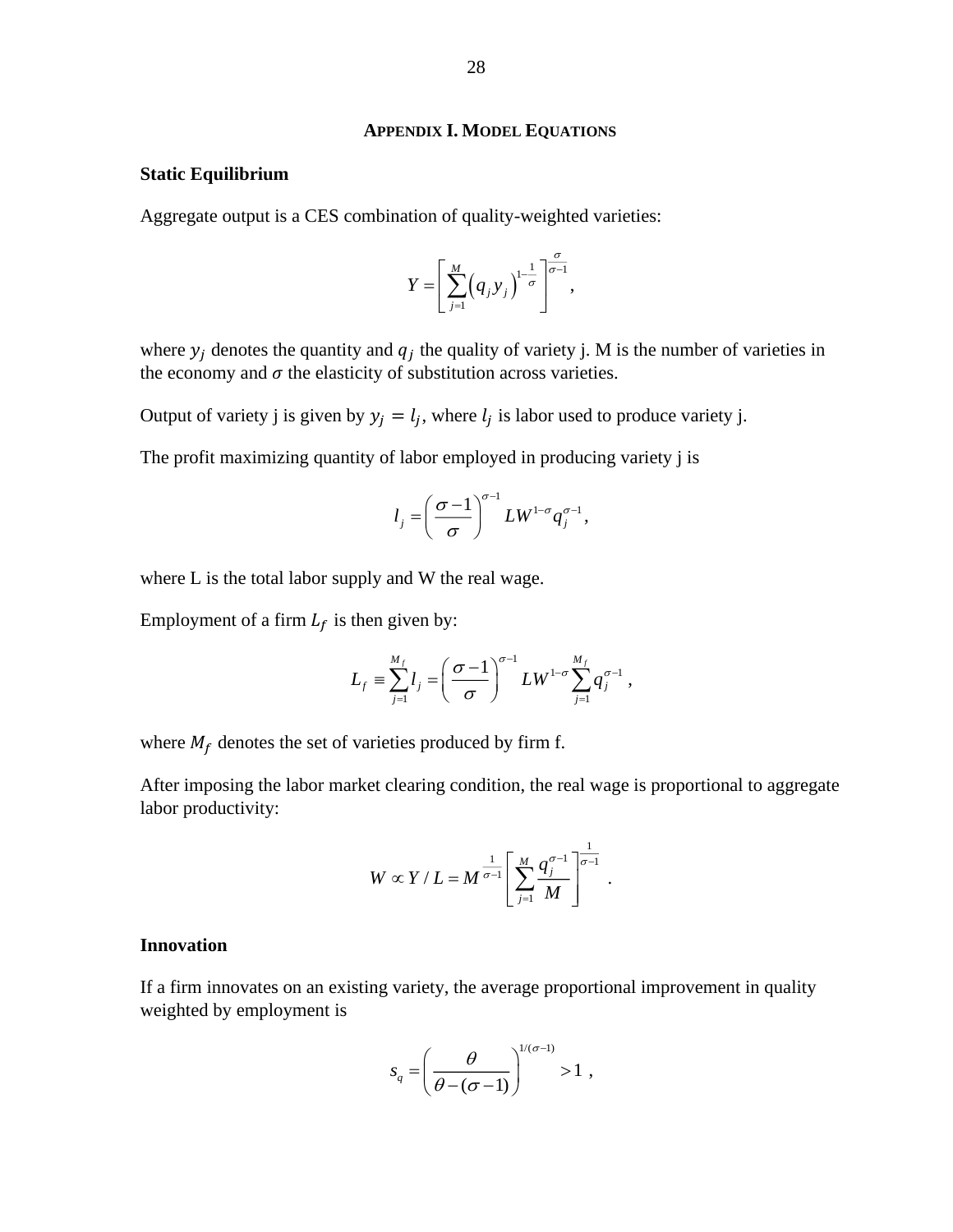#### <span id="page-27-0"></span>**APPENDIX I. MODEL EQUATIONS**

#### **Static Equilibrium**

Aggregate output is a CES combination of quality-weighted varieties:

$$
Y=\left[\sum_{j=1}^M (q_jy_j)^{1-\frac{1}{\sigma}}\right]^{\frac{\sigma}{\sigma-1}},
$$

where  $y_j$  denotes the quantity and  $q_j$  the quality of variety j. M is the number of varieties in the economy and  $\sigma$  the elasticity of substitution across varieties.

Output of variety j is given by  $y_j = l_j$ , where  $l_j$  is labor used to produce variety j.

The profit maximizing quantity of labor employed in producing variety j is

$$
l_j = \left(\frac{\sigma - 1}{\sigma}\right)^{\sigma - 1} L W^{1-\sigma} q_j^{\sigma - 1},
$$

where L is the total labor supply and W the real wage.

Employment of a firm  $L_f$  is then given by:

$$
L_f = \sum_{j=1}^{M_f} l_j = \left(\frac{\sigma - 1}{\sigma}\right)^{\sigma - 1} L W^{1 - \sigma} \sum_{j=1}^{M_f} q_j^{\sigma - 1} ,
$$

where  $M_f$  denotes the set of varieties produced by firm f.

After imposing the labor market clearing condition, the real wage is proportional to aggregate labor productivity:

$$
W \propto Y/L = M^{\frac{1}{\sigma-1}} \left[ \sum_{j=1}^M \frac{q_j^{\sigma-1}}{M} \right]^{\frac{1}{\sigma-1}}.
$$

#### **Innovation**

If a firm innovates on an existing variety, the average proportional improvement in quality weighted by employment is

$$
s_q = \left(\frac{\theta}{\theta - (\sigma - 1)}\right)^{1/(\sigma - 1)} > 1 \ ,
$$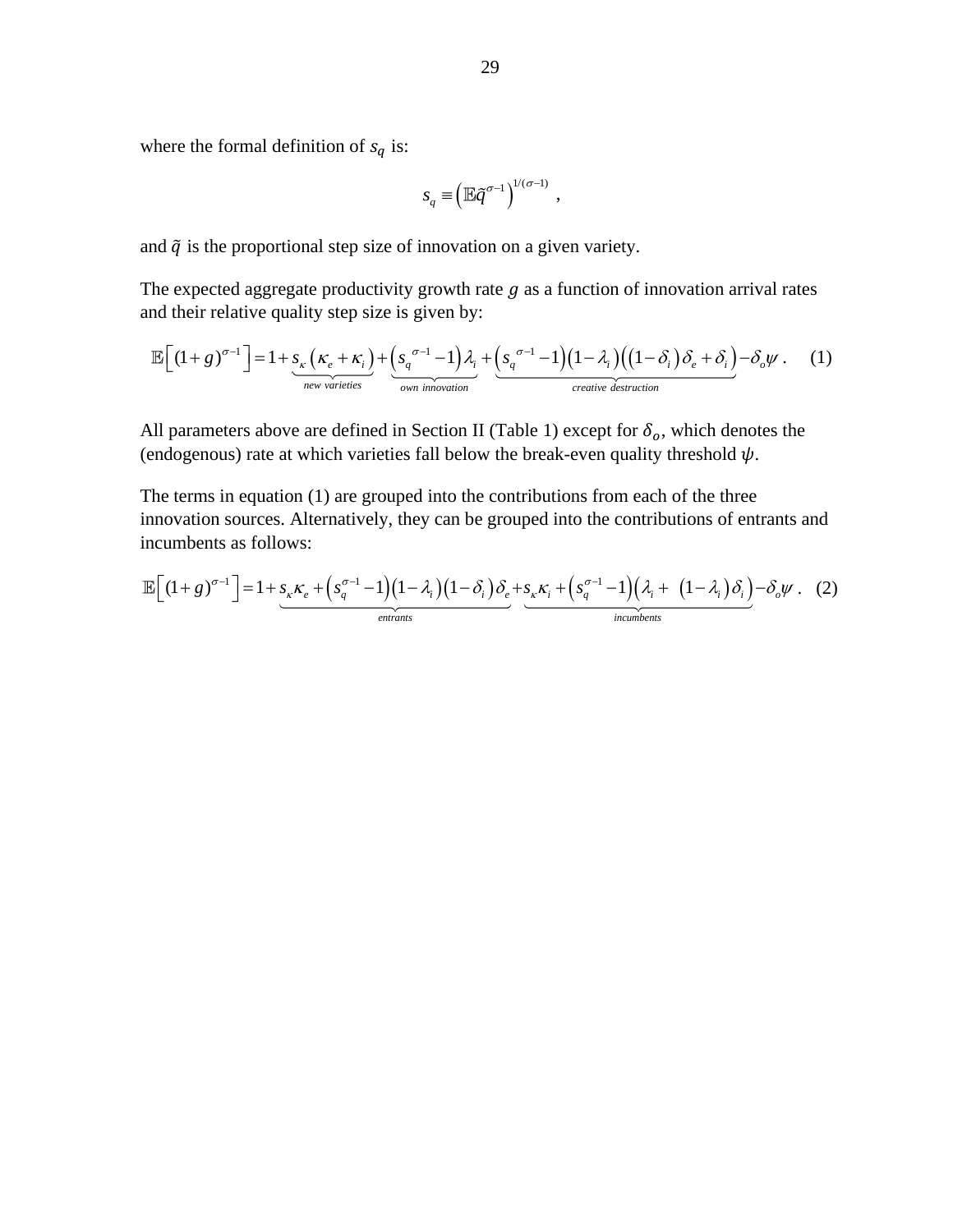where the formal definition of  $s_q$  is:

$$
s_q = \left(\mathbb{E} \tilde{q}^{\sigma-1}\right)^{1/(\sigma-1)},
$$

and  $\tilde{q}$  is the proportional step size of innovation on a given variety.

The expected aggregate productivity growth rate  $g$  as a function of innovation arrival rates and their relative quality step size is given by:

$$
\mathbb{E}\Big[(1+g)^{\sigma-1}\Big] = 1 + \underbrace{s_{\kappa}\left(\kappa_e + \kappa_i\right)}_{\text{new varieties}} + \underbrace{\left(s_q^{\sigma-1} - 1\right)\lambda_i}_{\text{own innovation}} + \underbrace{\left(s_q^{\sigma-1} - 1\right)\left(1 - \lambda_i\right)\left(\left(1 - \delta_i\right)\delta_e + \delta_i\right)}_{\text{createive destruction}} - \delta_o\psi. \tag{1}
$$

All parameters above are defined in Section II (Table 1) except for  $\delta_o$ , which denotes the (endogenous) rate at which varieties fall below the break-even quality threshold  $\psi$ .

The terms in equation (1) are grouped into the contributions from each of the three innovation sources. Alternatively, they can be grouped into the contributions of entrants and incumbents as follows:

$$
\mathbb{E}\Big[(1+g)^{\sigma-1}\Big] = 1 + \underbrace{s_{\kappa}\kappa_{e} + \left(s_{q}^{\sigma-1} - 1\right)\left(1-\lambda_{i}\right)\left(1-\delta_{i}\right)\delta_{e}}_{\text{entrants}} + \underbrace{s_{\kappa}\kappa_{i} + \left(s_{q}^{\sigma-1} - 1\right)\left(\lambda_{i} + \left(1-\lambda_{i}\right)\delta_{i}\right)}_{\text{incumibents}} - \delta_{o}\psi. \quad (2)
$$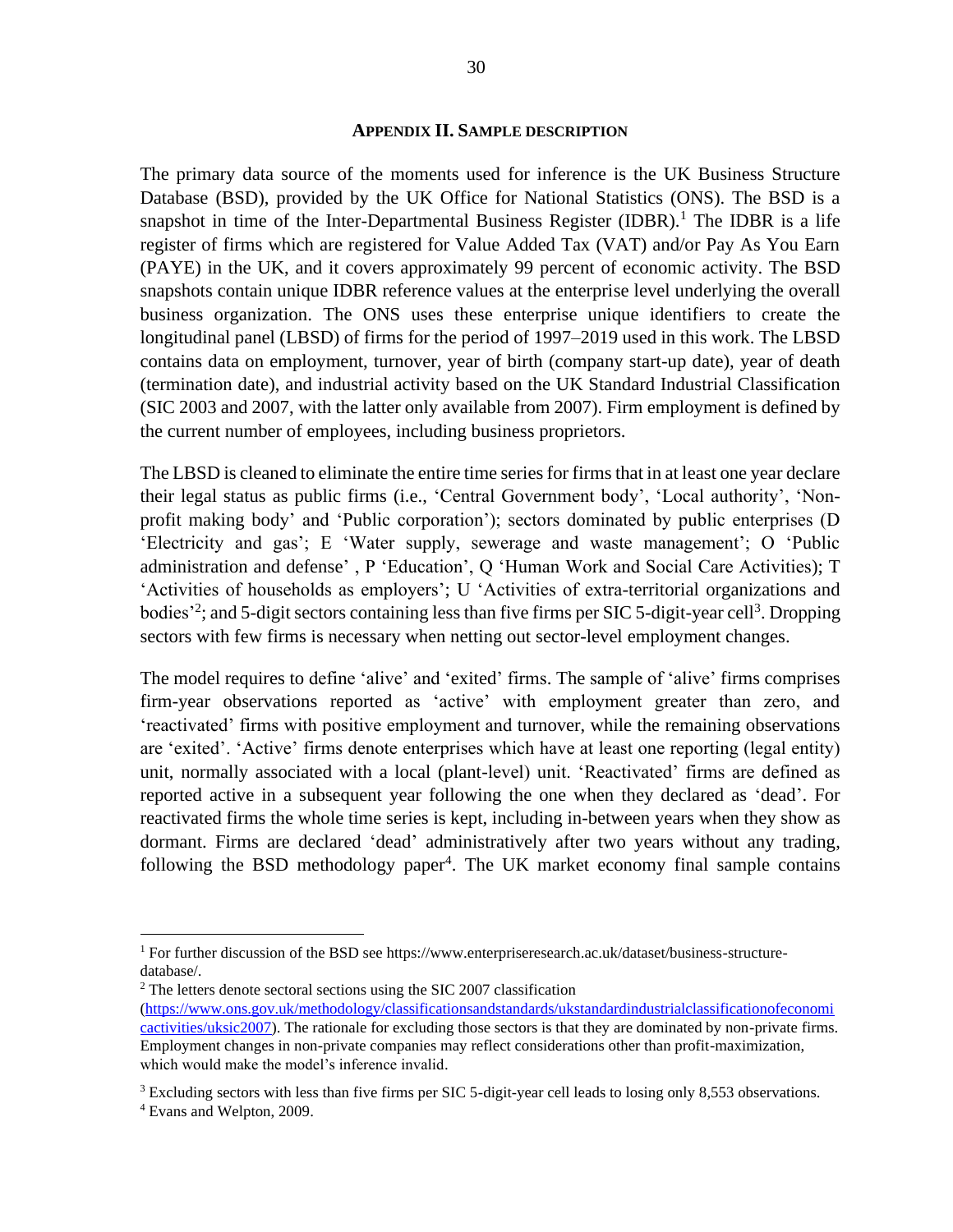#### <span id="page-29-0"></span>**APPENDIX II. SAMPLE DESCRIPTION**

The primary data source of the moments used for inference is the UK Business Structure Database (BSD), provided by the UK Office for National Statistics (ONS). The BSD is a snapshot in time of the Inter-Departmental Business Register (IDBR).<sup>1</sup> The IDBR is a life register of firms which are registered for Value Added Tax (VAT) and/or Pay As You Earn (PAYE) in the UK, and it covers approximately 99 percent of economic activity. The BSD snapshots contain unique IDBR reference values at the enterprise level underlying the overall business organization. The ONS uses these enterprise unique identifiers to create the longitudinal panel (LBSD) of firms for the period of 1997–2019 used in this work. The LBSD contains data on employment, turnover, year of birth (company start-up date), year of death (termination date), and industrial activity based on the UK Standard Industrial Classification (SIC 2003 and 2007, with the latter only available from 2007). Firm employment is defined by the current number of employees, including business proprietors.

The LBSD is cleaned to eliminate the entire time series for firms that in at least one year declare their legal status as public firms (i.e., 'Central Government body', 'Local authority', 'Nonprofit making body' and 'Public corporation'); sectors dominated by public enterprises (D 'Electricity and gas'; E 'Water supply, sewerage and waste management'; O 'Public administration and defense' , P 'Education', Q 'Human Work and Social Care Activities); T 'Activities of households as employers'; U 'Activities of extra-territorial organizations and bodies<sup>2</sup>; and 5-digit sectors containing less than five firms per SIC 5-digit-year cell<sup>3</sup>. Dropping sectors with few firms is necessary when netting out sector-level employment changes.

The model requires to define 'alive' and 'exited' firms. The sample of 'alive' firms comprises firm-year observations reported as 'active' with employment greater than zero, and 'reactivated' firms with positive employment and turnover, while the remaining observations are 'exited'. 'Active' firms denote enterprises which have at least one reporting (legal entity) unit, normally associated with a local (plant-level) unit. 'Reactivated' firms are defined as reported active in a subsequent year following the one when they declared as 'dead'. For reactivated firms the whole time series is kept, including in-between years when they show as dormant. Firms are declared 'dead' administratively after two years without any trading, following the BSD methodology paper<sup>4</sup>. The UK market economy final sample contains

<sup>1</sup> For further discussion of the BSD see https://www.enterpriseresearch.ac.uk/dataset/business-structuredatabase/.

 $2$  The letters denote sectoral sections using the SIC 2007 classification

[<sup>\(</sup>https://www.ons.gov.uk/methodology/classificationsandstandards/ukstandardindustrialclassificationofeconomi](https://www.ons.gov.uk/methodology/classificationsandstandards/ukstandardindustrialclassificationofeconomicactivities/uksic2007) [cactivities/uksic2007\)](https://www.ons.gov.uk/methodology/classificationsandstandards/ukstandardindustrialclassificationofeconomicactivities/uksic2007). The rationale for excluding those sectors is that they are dominated by non-private firms. Employment changes in non-private companies may reflect considerations other than profit-maximization, which would make the model's inference invalid.

<sup>&</sup>lt;sup>3</sup> Excluding sectors with less than five firms per SIC 5-digit-year cell leads to losing only 8,553 observations.

<sup>4</sup> Evans and Welpton, 2009.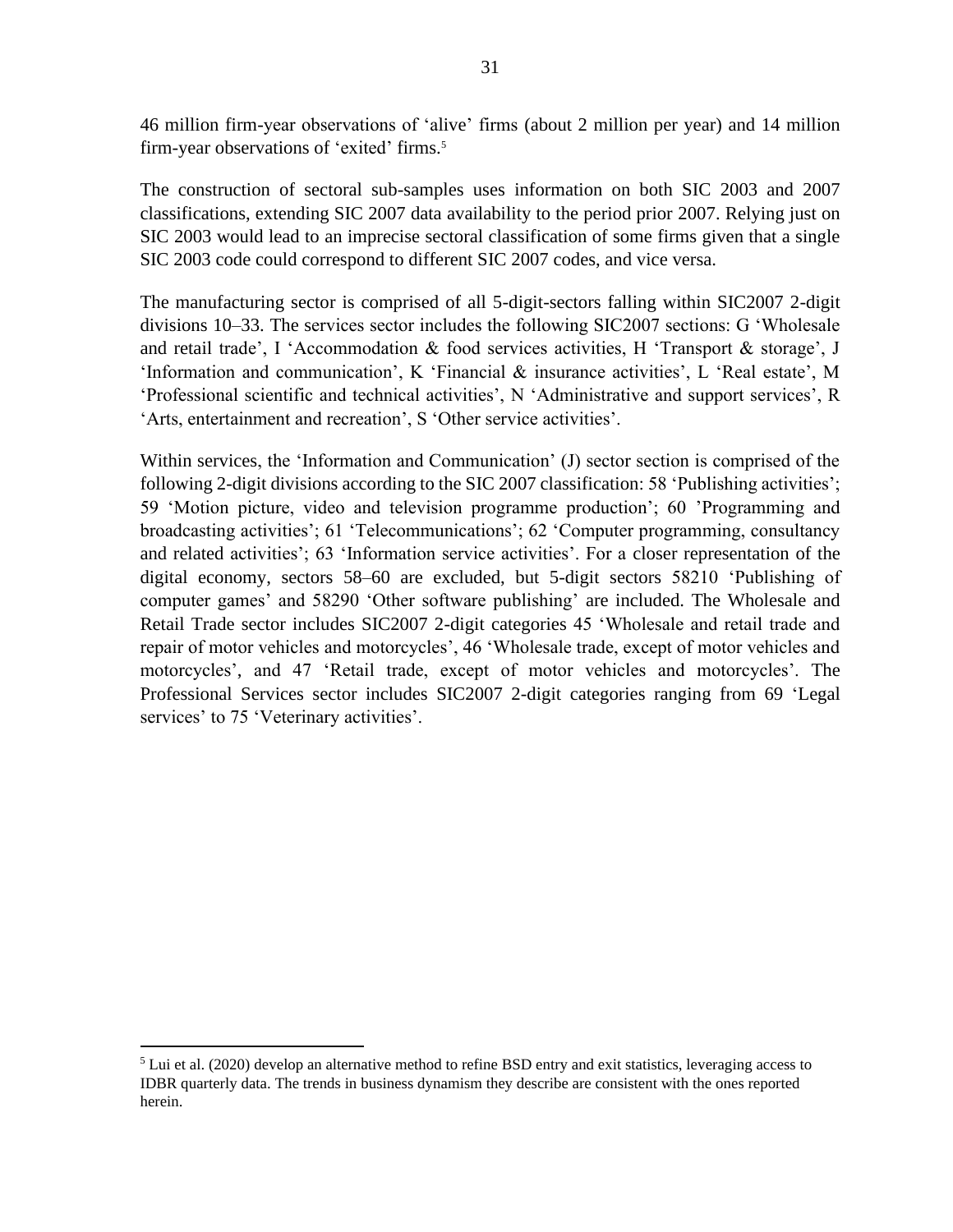46 million firm-year observations of 'alive' firms (about 2 million per year) and 14 million firm-year observations of 'exited' firms.<sup>5</sup>

The construction of sectoral sub-samples uses information on both SIC 2003 and 2007 classifications, extending SIC 2007 data availability to the period prior 2007. Relying just on SIC 2003 would lead to an imprecise sectoral classification of some firms given that a single SIC 2003 code could correspond to different SIC 2007 codes, and vice versa.

The manufacturing sector is comprised of all 5-digit-sectors falling within SIC2007 2-digit divisions 10–33. The services sector includes the following SIC2007 sections: G 'Wholesale and retail trade', I 'Accommodation & food services activities, H 'Transport & storage', J 'Information and communication', K 'Financial & insurance activities', L 'Real estate', M 'Professional scientific and technical activities', N 'Administrative and support services', R 'Arts, entertainment and recreation', S 'Other service activities'.

Within services, the 'Information and Communication' (J) sector section is comprised of the following 2-digit divisions according to the SIC 2007 classification: 58 'Publishing activities'; 59 'Motion picture, video and television programme production'; 60 'Programming and broadcasting activities'; 61 'Telecommunications'; 62 'Computer programming, consultancy and related activities'; 63 'Information service activities'. For a closer representation of the digital economy, sectors 58–60 are excluded, but 5-digit sectors 58210 'Publishing of computer games' and 58290 'Other software publishing' are included. The Wholesale and Retail Trade sector includes SIC2007 2-digit categories 45 'Wholesale and retail trade and repair of motor vehicles and motorcycles', 46 'Wholesale trade, except of motor vehicles and motorcycles', and 47 'Retail trade, except of motor vehicles and motorcycles'. The Professional Services sector includes SIC2007 2-digit categories ranging from 69 'Legal services' to 75 'Veterinary activities'.

 $<sup>5</sup>$  Lui et al. (2020) develop an alternative method to refine BSD entry and exit statistics, leveraging access to</sup> IDBR quarterly data. The trends in business dynamism they describe are consistent with the ones reported herein.